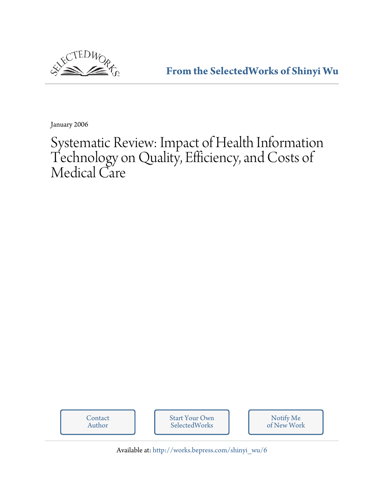

**[From the SelectedWorks of Shinyi Wu](http://works.bepress.com/shinyi_wu)**

January 2006

# Systematic Review: Impact of Health Information Technology on Quality, Efficiency, and Costs of Medical Care



Available at: [http://works.bepress.com/shinyi\\_wu/6](http://works.bepress.com/shinyi_wu/6)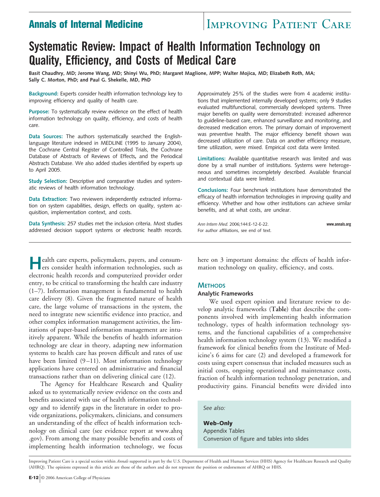### **Annals of Internal Medicine IMPROVING PATIENT CARE**

## **Systematic Review: Impact of Health Information Technology on Quality, Efficiency, and Costs of Medical Care**

**Basit Chaudhry, MD; Jerome Wang, MD; Shinyi Wu, PhD; Margaret Maglione, MPP; Walter Mojica, MD; Elizabeth Roth, MA; Sally C. Morton, PhD; and Paul G. Shekelle, MD, PhD**

**Background:** Experts consider health information technology key to improving efficiency and quality of health care.

**Purpose:** To systematically review evidence on the effect of health information technology on quality, efficiency, and costs of health care.

**Data Sources:** The authors systematically searched the Englishlanguage literature indexed in MEDLINE (1995 to January 2004), the Cochrane Central Register of Controlled Trials, the Cochrane Database of Abstracts of Reviews of Effects**,** and the Periodical Abstracts Database. We also added studies identified by experts up to April 2005.

**Study Selection:** Descriptive and comparative studies and systematic reviews of health information technology.

**Data Extraction:** Two reviewers independently extracted information on system capabilities, design, effects on quality, system acquisition, implementation context, and costs.

**Data Synthesis:** 257 studies met the inclusion criteria. Most studies addressed decision support systems or electronic health records. Approximately 25% of the studies were from 4 academic institutions that implemented internally developed systems; only 9 studies evaluated multifunctional, commercially developed systems. Three major benefits on quality were demonstrated: increased adherence to guideline-based care, enhanced surveillance and monitoring, and decreased medication errors. The primary domain of improvement was preventive health. The major efficiency benefit shown was decreased utilization of care. Data on another efficiency measure, time utilization, were mixed. Empirical cost data were limited.

**Limitations:** Available quantitative research was limited and was done by a small number of institutions. Systems were heterogeneous and sometimes incompletely described. Available financial and contextual data were limited.

**Conclusions:** Four benchmark institutions have demonstrated the efficacy of health information technologies in improving quality and efficiency. Whether and how other institutions can achieve similar benefits, and at what costs, are unclear.

*Ann Intern Med.* 2006;144:E-12-E-22. **www.annals.org** For author affiliations, see end of text.

**Health care experts, policymakers, payers, and consum-**<br>ers consider health information technologies, such as electronic health records and computerized provider order entry, to be critical to transforming the health care industry (1–7). Information management is fundamental to health care delivery (8). Given the fragmented nature of health care, the large volume of transactions in the system, the need to integrate new scientific evidence into practice, and other complex information management activities, the limitations of paper-based information management are intuitively apparent. While the benefits of health information technology are clear in theory, adapting new information systems to health care has proven difficult and rates of use have been limited (9–11). Most information technology applications have centered on administrative and financial transactions rather than on delivering clinical care (12).

The Agency for Healthcare Research and Quality asked us to systematically review evidence on the costs and benefits associated with use of health information technology and to identify gaps in the literature in order to provide organizations, policymakers, clinicians, and consumers an understanding of the effect of health information technology on clinical care (see evidence report at www.ahrq .gov). From among the many possible benefits and costs of implementing health information technology, we focus

here on 3 important domains: the effects of health information technology on quality, efficiency, and costs.

#### **METHODS**

#### **Analytic Frameworks**

We used expert opinion and literature review to develop analytic frameworks (**Table**) that describe the components involved with implementing health information technology, types of health information technology systems, and the functional capabilities of a comprehensive health information technology system (13). We modified a framework for clinical benefits from the Institute of Medicine's 6 aims for care (2) and developed a framework for costs using expert consensus that included measures such as initial costs, ongoing operational and maintenance costs, fraction of health information technology penetration, and productivity gains. Financial benefits were divided into

#### *See also:*

**Web-Only** Appendix Tables Conversion of figure and tables into slides

Improving Patient Care is a special section within *Annals* supported in part by the U.S. Department of Health and Human Services (HHS) Agency for Healthcare Research and Quality (AHRQ). The opinions expressed in this article are those of the authors and do not represent the position or endorsement of AHRQ or HHS.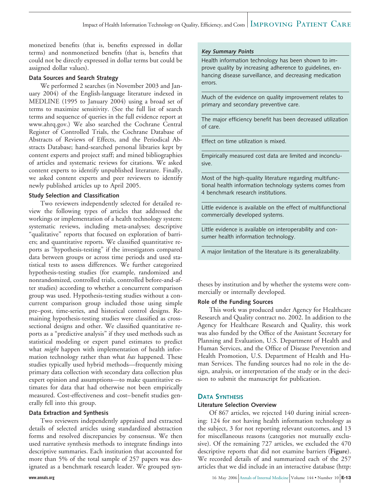monetized benefits (that is, benefits expressed in dollar terms) and nonmonetized benefits (that is, benefits that could not be directly expressed in dollar terms but could be assigned dollar values).

#### **Data Sources and Search Strategy**

We performed 2 searches (in November 2003 and January 2004) of the English-language literature indexed in MEDLINE (1995 to January 2004) using a broad set of terms to maximize sensitivity. (See the full list of search terms and sequence of queries in the full evidence report at www.ahrq.gov.) We also searched the Cochrane Central Register of Controlled Trials, the Cochrane Database of Abstracts of Reviews of Effects, and the Periodical Abstracts Database; hand-searched personal libraries kept by content experts and project staff; and mined bibliographies of articles and systematic reviews for citations. We asked content experts to identify unpublished literature. Finally, we asked content experts and peer reviewers to identify newly published articles up to April 2005.

#### **Study Selection and Classification**

Two reviewers independently selected for detailed review the following types of articles that addressed the workings or implementation of a health technology system: systematic reviews, including meta-analyses; descriptive "qualitative" reports that focused on exploration of barriers; and quantitative reports. We classified quantitative reports as "hypothesis-testing" if the investigators compared data between groups or across time periods and used statistical tests to assess differences. We further categorized hypothesis-testing studies (for example, randomized and nonrandomized, controlled trials, controlled before-and-after studies) according to whether a concurrent comparison group was used. Hypothesis-testing studies without a concurrent comparison group included those using simple pre–post, time-series, and historical control designs. Remaining hypothesis-testing studies were classified as crosssectional designs and other. We classified quantitative reports as a "predictive analysis" if they used methods such as statistical modeling or expert panel estimates to predict what *might* happen with implementation of health information technology rather than what *has* happened. These studies typically used hybrid methods—frequently mixing primary data collection with secondary data collection plus expert opinion and assumptions—to make quantitative estimates for data that had otherwise not been empirically measured. Cost-effectiveness and cost–benefit studies generally fell into this group.

#### **Data Extraction and Synthesis**

Two reviewers independently appraised and extracted details of selected articles using standardized abstraction forms and resolved discrepancies by consensus. We then used narrative synthesis methods to integrate findings into descriptive summaries. Each institution that accounted for more than 5% of the total sample of 257 papers was designated as a benchmark research leader. We grouped syn-

#### **Key Summary Points**

Health information technology has been shown to improve quality by increasing adherence to guidelines, enhancing disease surveillance, and decreasing medication errors.

Much of the evidence on quality improvement relates to primary and secondary preventive care.

The major efficiency benefit has been decreased utilization of care.

Effect on time utilization is mixed.

Empirically measured cost data are limited and inconclusive.

Most of the high-quality literature regarding multifunctional health information technology systems comes from 4 benchmark research institutions.

Little evidence is available on the effect of multifunctional commercially developed systems.

Little evidence is available on interoperability and consumer health information technology.

A major limitation of the literature is its generalizability.

theses by institution and by whether the systems were commercially or internally developed.

#### **Role of the Funding Sources**

This work was produced under Agency for Healthcare Research and Quality contract no. 2002. In addition to the Agency for Healthcare Research and Quality, this work was also funded by the Office of the Assistant Secretary for Planning and Evaluation, U.S. Department of Health and Human Services, and the Office of Disease Prevention and Health Promotion, U.S. Department of Health and Human Services. The funding sources had no role in the design, analysis, or interpretation of the study or in the decision to submit the manuscript for publication.

#### **DATA SYNTHESIS**

#### **Literature Selection Overview**

Of 867 articles, we rejected 140 during initial screening: 124 for not having health information technology as the subject, 3 for not reporting relevant outcomes, and 13 for miscellaneous reasons (categories not mutually exclusive). Of the remaining 727 articles, we excluded the 470 descriptive reports that did not examine barriers (**Figure**). We recorded details of and summarized each of the 257 articles that we did include in an interactive database (http: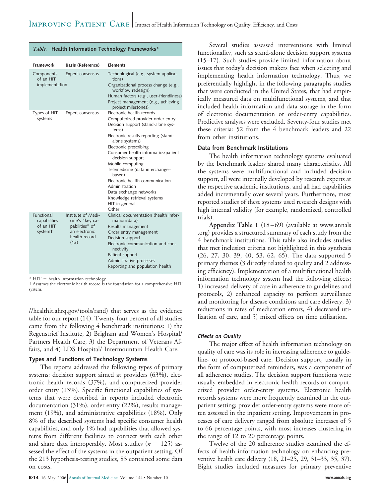| <b>Framework</b>                                   | <b>Basis (Reference)</b>                                                                          | <b>Elements</b>                                                                                                                                                                                                                                                                                                                                                                                                                                                        |
|----------------------------------------------------|---------------------------------------------------------------------------------------------------|------------------------------------------------------------------------------------------------------------------------------------------------------------------------------------------------------------------------------------------------------------------------------------------------------------------------------------------------------------------------------------------------------------------------------------------------------------------------|
| Components<br>of an HIT<br>implementation          | Expert consensus                                                                                  | Technological (e.g., system applica-<br>tions)<br>Organizational process change (e.g.,<br>workflow redesign)<br>Human factors (e.g., user-friendliness)<br>Project management (e.g., achieving<br>project milestones)                                                                                                                                                                                                                                                  |
| Types of HIT<br>systems                            | Expert consensus                                                                                  | Electronic health records<br>Computerized provider order entry<br>Decision support (stand-alone sys-<br>tems)<br>Electronic results reporting (stand-<br>alone systems)<br>Electronic prescribing<br>Consumer health informatics/patient<br>decision support<br>Mobile computing<br>Telemedicine (data interchange-<br>based)<br>Electronic health communication<br>Administration<br>Data exchange networks<br>Knowledge retrieval systems<br>HIT in general<br>Other |
| Functional<br>capabilities<br>of an HIT<br>systemt | Institute of Medi-<br>cine's "key ca-<br>pabilities" of<br>an electronic<br>health record<br>(13) | Clinical documentation (health infor-<br>mation/data)<br>Results management<br>Order entry management<br>Decision support<br>Electronic communication and con-<br>nectivity<br>Patient support<br>Administrative processes<br>Reporting and population health                                                                                                                                                                                                          |

*Table.* **Health Information Technology Frameworks\***

 $*$  HIT = health information technology.

† Assumes the electronic health record is the foundation for a comprehensive HIT system.

//healthit.ahrq.gov/tools/rand) that serves as the evidence table for our report (14). Twenty-four percent of all studies came from the following 4 benchmark institutions: 1) the Regenstrief Institute, 2) Brigham and Women's Hospital/ Partners Health Care, 3) the Department of Veterans Affairs, and 4) LDS Hospital/ Intermountain Health Care.

#### **Types and Functions of Technology Systems**

The reports addressed the following types of primary systems: decision support aimed at providers (63%), electronic health records (37%), and computerized provider order entry (13%). Specific functional capabilities of systems that were described in reports included electronic documentation (31%), order entry (22%), results management (19%), and administrative capabilities (18%). Only 8% of the described systems had specific consumer health capabilities, and only 1% had capabilities that allowed systems from different facilities to connect with each other and share data interoperably. Most studies  $(n = 125)$  assessed the effect of the systems in the outpatient setting. Of the 213 hypothesis-testing studies, 83 contained some data on costs.

Several studies assessed interventions with limited functionality, such as stand-alone decision support systems (15–17). Such studies provide limited information about issues that today's decision makers face when selecting and implementing health information technology. Thus, we preferentially highlight in the following paragraphs studies that were conducted in the United States, that had empirically measured data on multifunctional systems, and that included health information and data storage in the form of electronic documentation or order-entry capabilities. Predictive analyses were excluded. Seventy-four studies met these criteria: 52 from the 4 benchmark leaders and 22 from other institutions.

#### **Data from Benchmark Institutions**

The health information technology systems evaluated by the benchmark leaders shared many characteristics. All the systems were multifunctional and included decision support, all were internally developed by research experts at the respective academic institutions, and all had capabilities added incrementally over several years. Furthermore, most reported studies of these systems used research designs with high internal validity (for example, randomized, controlled trials).

**Appendix Table 1** (18–69) (available at www.annals .org) provides a structured summary of each study from the 4 benchmark institutions. This table also includes studies that met inclusion criteria not highlighted in this synthesis (26, 27, 30, 39, 40, 53, 62, 65). The data supported 5 primary themes (3 directly related to quality and 2 addressing efficiency). Implementation of a multifunctional health information technology system had the following effects: 1) increased delivery of care in adherence to guidelines and protocols, 2) enhanced capacity to perform surveillance and monitoring for disease conditions and care delivery, 3) reductions in rates of medication errors, 4) decreased utilization of care, and 5) mixed effects on time utilization.

#### **Effects on Quality**

The major effect of health information technology on quality of care was its role in increasing adherence to guideline- or protocol-based care. Decision support, usually in the form of computerized reminders, was a component of all adherence studies. The decision support functions were usually embedded in electronic health records or computerized provider order-entry systems. Electronic health records systems were more frequently examined in the outpatient setting; provider order-entry systems were more often assessed in the inpatient setting. Improvements in processes of care delivery ranged from absolute increases of 5 to 66 percentage points, with most increases clustering in the range of 12 to 20 percentage points.

Twelve of the 20 adherence studies examined the effects of health information technology on enhancing preventive health care delivery (18, 21–25, 29, 31–33, 35, 37). Eight studies included measures for primary preventive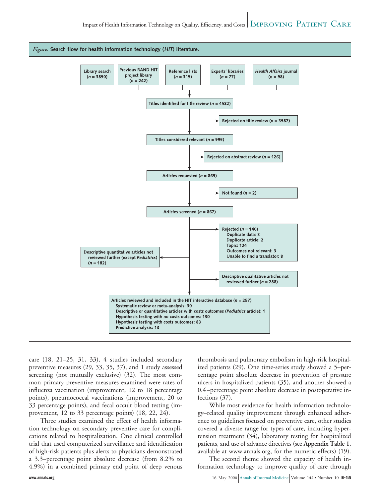

care (18, 21–25, 31, 33), 4 studies included secondary preventive measures (29, 33, 35, 37), and 1 study assessed screening (not mutually exclusive) (32). The most common primary preventive measures examined were rates of influenza vaccination (improvement, 12 to 18 percentage points), pneumococcal vaccinations (improvement, 20 to 33 percentage points), and fecal occult blood testing (improvement, 12 to 33 percentage points) (18, 22, 24).

Three studies examined the effect of health information technology on secondary preventive care for complications related to hospitalization. One clinical controlled trial that used computerized surveillance and identification of high-risk patients plus alerts to physicians demonstrated a 3.3–percentage point absolute decrease (from 8.2% to 4.9%) in a combined primary end point of deep venous

thrombosis and pulmonary embolism in high-risk hospitalized patients (29). One time-series study showed a 5–percentage point absolute decrease in prevention of pressure ulcers in hospitalized patients (35), and another showed a 0.4–percentage point absolute decrease in postoperative infections (37).

While most evidence for health information technology–related quality improvement through enhanced adherence to guidelines focused on preventive care, other studies covered a diverse range for types of care, including hypertension treatment (34), laboratory testing for hospitalized patients, and use of advance directives (see **Appendix Table 1**, available at www.annals.org, for the numeric effects) (19).

The second theme showed the capacity of health information technology to improve quality of care through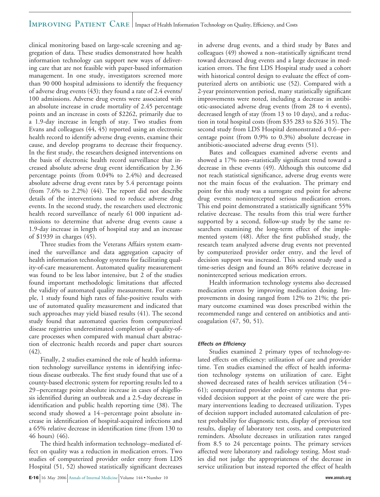#### IMPROVING PATIENT CARE Impact of Health Information Technology on Quality, Efficiency, and Costs

clinical monitoring based on large-scale screening and aggregation of data. These studies demonstrated how health information technology can support new ways of delivering care that are not feasible with paper-based information management. In one study, investigators screened more than 90 000 hospital admissions to identify the frequency of adverse drug events (43); they found a rate of 2.4 events/ 100 admissions. Adverse drug events were associated with an absolute increase in crude mortality of 2.45 percentage points and an increase in costs of \$2262, primarily due to a 1.9-day increase in length of stay. Two studies from Evans and colleagues (44, 45) reported using an electronic health record to identify adverse drug events, examine their cause, and develop programs to decrease their frequency. In the first study, the researchers designed interventions on the basis of electronic health record surveillance that increased absolute adverse drug event identification by 2.36 percentage points (from 0.04% to 2.4%) and decreased absolute adverse drug event rates by 5.4 percentage points (from 7.6% to 2.2%) (44). The report did not describe details of the interventions used to reduce adverse drug events. In the second study, the researchers used electronic health record surveillance of nearly 61 000 inpatient admissions to determine that adverse drug events cause a 1.9-day increase in length of hospital stay and an increase of \$1939 in charges (45).

Three studies from the Veterans Affairs system examined the surveillance and data aggregation capacity of health information technology systems for facilitating quality-of-care measurement. Automated quality measurement was found to be less labor intensive, but 2 of the studies found important methodologic limitations that affected the validity of automated quality measurement. For example, 1 study found high rates of false-positive results with use of automated quality measurement and indicated that such approaches may yield biased results (41). The second study found that automated queries from computerized disease registries underestimated completion of quality-ofcare processes when compared with manual chart abstraction of electronic health records and paper chart sources (42).

Finally, 2 studies examined the role of health information technology surveillance systems in identifying infectious disease outbreaks. The first study found that use of a county-based electronic system for reporting results led to a 29–percentage point absolute increase in cases of shigellosis identified during an outbreak and a 2.5-day decrease in identification and public health reporting time (38). The second study showed a 14–percentage point absolute increase in identification of hospital-acquired infections and a 65% relative decrease in identification time (from 130 to 46 hours) (46).

The third health information technology–mediated effect on quality was a reduction in medication errors. Two studies of computerized provider order entry from LDS Hospital (51, 52) showed statistically significant decreases in adverse drug events, and a third study by Bates and colleagues (49) showed a non–statistically significant trend toward decreased drug events and a large decrease in medication errors. The first LDS Hospital study used a cohort with historical control design to evaluate the effect of computerized alerts on antibiotic use (52). Compared with a 2-year preintervention period, many statistically significant improvements were noted, including a decrease in antibiotic-associated adverse drug events (from 28 to 4 events), decreased length of stay (from 13 to 10 days), and a reduction in total hospital costs (from \$35 283 to \$26 315). The second study from LDS Hospital demonstrated a 0.6–percentage point (from 0.9% to 0.3%) absolute decrease in antibiotic-associated adverse drug events (51).

Bates and colleagues examined adverse events and showed a 17% non–statistically significant trend toward a decrease in these events (49). Although this outcome did not reach statistical significance, adverse drug events were not the main focus of the evaluation. The primary end point for this study was a surrogate end point for adverse drug events: nonintercepted serious medication errors. This end point demonstrated a statistically significant 55% relative decrease. The results from this trial were further supported by a second, follow-up study by the same researchers examining the long-term effect of the implemented system (48). After the first published study, the research team analyzed adverse drug events not prevented by computerized provider order entry, and the level of decision support was increased. This second study used a time-series design and found an 86% relative decrease in nonintercepted serious medication errors.

Health information technology systems also decreased medication errors by improving medication dosing. Improvements in dosing ranged from 12% to 21%; the primary outcome examined was doses prescribed within the recommended range and centered on antibiotics and anticoagulation (47, 50, 51).

#### **Effects on Efficiency**

Studies examined 2 primary types of technology-related effects on efficiency: utilization of care and provider time. Ten studies examined the effect of health information technology systems on utilization of care. Eight showed decreased rates of health services utilization (54– 61); computerized provider order-entry systems that provided decision support at the point of care were the primary interventions leading to decreased utilization. Types of decision support included automated calculation of pretest probability for diagnostic tests, display of previous test results, display of laboratory test costs, and computerized reminders. Absolute decreases in utilization rates ranged from 8.5 to 24 percentage points. The primary services affected were laboratory and radiology testing. Most studies did not judge the appropriateness of the decrease in service utilization but instead reported the effect of health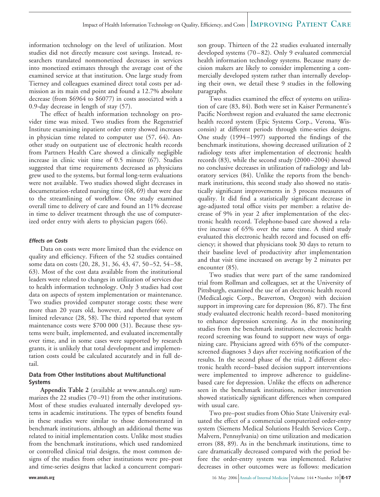information technology on the level of utilization. Most studies did not directly measure cost savings. Instead, researchers translated nonmonetized decreases in services into monetized estimates through the average cost of the examined service at that institution. One large study from Tierney and colleagues examined direct total costs per admission as its main end point and found a 12.7% absolute decrease (from \$6964 to \$6077) in costs associated with a 0.9-day decrease in length of stay (57).

The effect of health information technology on provider time was mixed. Two studies from the Regenstrief Institute examining inpatient order entry showed increases in physician time related to computer use (57, 64). Another study on outpatient use of electronic health records from Partners Health Care showed a clinically negligible increase in clinic visit time of 0.5 minute (67). Studies suggested that time requirements decreased as physicians grew used to the systems, but formal long-term evaluations were not available. Two studies showed slight decreases in documentation-related nursing time (68, 69) that were due to the streamlining of workflow. One study examined overall time to delivery of care and found an 11% decrease in time to deliver treatment through the use of computerized order entry with alerts to physician pagers (66).

#### **Effects on Costs**

Data on costs were more limited than the evidence on quality and efficiency. Fifteen of the 52 studies contained some data on costs (20, 28, 31, 36, 43, 47, 50–52, 54–58, 63). Most of the cost data available from the institutional leaders were related to changes in utilization of services due to health information technology. Only 3 studies had cost data on aspects of system implementation or maintenance. Two studies provided computer storage costs; these were more than 20 years old, however, and therefore were of limited relevance (28, 58). The third reported that system maintenance costs were \$700 000 (31). Because these systems were built, implemented, and evaluated incrementally over time, and in some cases were supported by research grants, it is unlikely that total development and implementation costs could be calculated accurately and in full detail.

#### **Data from Other Institutions about Multifunctional Systems**

**Appendix Table 2** (available at www.annals.org) summarizes the 22 studies (70–91) from the other institutions. Most of these studies evaluated internally developed systems in academic institutions. The types of benefits found in these studies were similar to those demonstrated in benchmark institutions, although an additional theme was related to initial implementation costs. Unlike most studies from the benchmark institutions, which used randomized or controlled clinical trial designs, the most common designs of the studies from other institutions were pre–post and time-series designs that lacked a concurrent comparison group. Thirteen of the 22 studies evaluated internally developed systems (70–82). Only 9 evaluated commercial health information technology systems. Because many decision makers are likely to consider implementing a commercially developed system rather than internally developing their own, we detail these 9 studies in the following paragraphs.

Two studies examined the effect of systems on utilization of care (83, 84). Both were set in Kaiser Permanente's Pacific Northwest region and evaluated the same electronic health record system (Epic Systems Corp., Verona, Wisconsin) at different periods through time-series designs. One study (1994–1997) supported the findings of the benchmark institutions, showing decreased utilization of 2 radiology tests after implementation of electronic health records (83), while the second study (2000–2004) showed no conclusive decreases in utilization of radiology and laboratory services (84). Unlike the reports from the benchmark institutions, this second study also showed no statistically significant improvements in 3 process measures of quality. It did find a statistically significant decrease in age-adjusted total office visits per member: a relative decrease of 9% in year 2 after implementation of the electronic health record. Telephone-based care showed a relative increase of 65% over the same time. A third study evaluated this electronic health record and focused on efficiency; it showed that physicians took 30 days to return to their baseline level of productivity after implementation and that visit time increased on average by 2 minutes per encounter (85).

Two studies that were part of the same randomized trial from Rollman and colleagues, set at the University of Pittsburgh, examined the use of an electronic health record (MedicaLogic Corp., Beaverton, Oregon) with decision support in improving care for depression (86, 87). The first study evaluated electronic health record–based monitoring to enhance depression screening. As in the monitoring studies from the benchmark institutions, electronic health record screening was found to support new ways of organizing care. Physicians agreed with 65% of the computerscreened diagnoses 3 days after receiving notification of the results. In the second phase of the trial, 2 different electronic health record–based decision support interventions were implemented to improve adherence to guidelinebased care for depression. Unlike the effects on adherence seen in the benchmark institutions, neither intervention showed statistically significant differences when compared with usual care.

Two pre–post studies from Ohio State University evaluated the effect of a commercial computerized order-entry system (Siemens Medical Solutions Health Services Corp., Malvern, Pennsylvania) on time utilization and medication errors (88, 89). As in the benchmark institutions, time to care dramatically decreased compared with the period before the order-entry system was implemented. Relative decreases in other outcomes were as follows: medication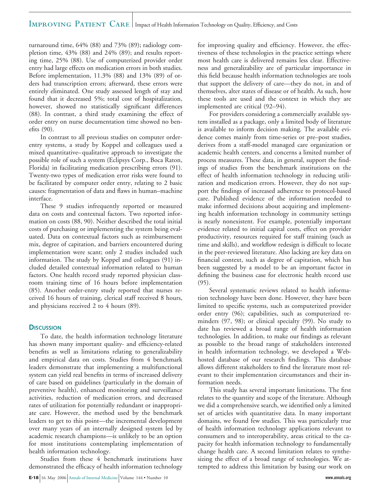#### IMPROVING PATIENT CARE Impact of Health Information Technology on Quality, Efficiency, and Costs

turnaround time, 64% (88) and 73% (89); radiology completion time, 43% (88) and 24% (89); and results reporting time, 25% (88). Use of computerized provider order entry had large effects on medication errors in both studies. Before implementation, 11.3% (88) and 13% (89) of orders had transcription errors; afterward, these errors were entirely eliminated. One study assessed length of stay and found that it decreased 5%; total cost of hospitalization, however, showed no statistically significant differences (88). In contrast, a third study examining the effect of order entry on nurse documentation time showed no benefits (90).

In contrast to all previous studies on computer orderentry systems, a study by Koppel and colleagues used a mixed quantitative–qualitative approach to investigate the possible role of such a system (Eclipsys Corp., Boca Raton, Florida) in facilitating medication prescribing errors (91). Twenty-two types of medication error risks were found to be facilitated by computer order entry, relating to 2 basic causes: fragmentation of data and flaws in human–machine interface.

These 9 studies infrequently reported or measured data on costs and contextual factors. Two reported information on costs (88, 90). Neither described the total initial costs of purchasing or implementing the system being evaluated. Data on contextual factors such as reimbursement mix, degree of capitation, and barriers encountered during implementation were scant; only 2 studies included such information. The study by Koppel and colleagues (91) included detailed contextual information related to human factors. One health record study reported physician classroom training time of 16 hours before implementation (85). Another order-entry study reported that nurses received 16 hours of training, clerical staff received 8 hours, and physicians received 2 to 4 hours (89).

#### **DISCUSSION**

To date, the health information technology literature has shown many important quality- and efficiency-related benefits as well as limitations relating to generalizability and empirical data on costs. Studies from 4 benchmark leaders demonstrate that implementing a multifunctional system can yield real benefits in terms of increased delivery of care based on guidelines (particularly in the domain of preventive health), enhanced monitoring and surveillance activities, reduction of medication errors, and decreased rates of utilization for potentially redundant or inappropriate care. However, the method used by the benchmark leaders to get to this point—the incremental development over many years of an internally designed system led by academic research champions—is unlikely to be an option for most institutions contemplating implementation of health information technology.

Studies from these 4 benchmark institutions have demonstrated the efficacy of health information technology

**E-18** 16 May 2006 Annals of Internal Medicine Volume 144 • Number 10 *www.annals.org* 

for improving quality and efficiency. However, the effectiveness of these technologies in the practice settings where most health care is delivered remains less clear. Effectiveness and generalizability are of particular importance in this field because health information technologies are tools that support the delivery of care—they do not, in and of themselves, alter states of disease or of health. As such, how these tools are used and the context in which they are implemented are critical (92–94).

For providers considering a commercially available system installed as a package, only a limited body of literature is available to inform decision making. The available evidence comes mainly from time-series or pre–post studies, derives from a staff-model managed care organization or academic health centers, and concerns a limited number of process measures. These data, in general, support the findings of studies from the benchmark institutions on the effect of health information technology in reducing utilization and medication errors. However, they do not support the findings of increased adherence to protocol-based care. Published evidence of the information needed to make informed decisions about acquiring and implementing health information technology in community settings is nearly nonexistent. For example, potentially important evidence related to initial capital costs, effect on provider productivity, resources required for staff training (such as time and skills), and workflow redesign is difficult to locate in the peer-reviewed literature. Also lacking are key data on financial context, such as degree of capitation, which has been suggested by a model to be an important factor in defining the business case for electronic health record use (95).

Several systematic reviews related to health information technology have been done. However, they have been limited to specific systems, such as computerized provider order entry (96); capabilities, such as computerized reminders (97, 98); or clinical specialty (99). No study to date has reviewed a broad range of health information technologies. In addition, to make our findings as relevant as possible to the broad range of stakeholders interested in health information technology, we developed a Webhosted database of our research findings. This database allows different stakeholders to find the literature most relevant to their implementation circumstances and their information needs.

This study has several important limitations. The first relates to the quantity and scope of the literature. Although we did a comprehensive search, we identified only a limited set of articles with quantitative data. In many important domains, we found few studies. This was particularly true of health information technology applications relevant to consumers and to interoperability, areas critical to the capacity for health information technology to fundamentally change health care. A second limitation relates to synthesizing the effect of a broad range of technologies. We attempted to address this limitation by basing our work on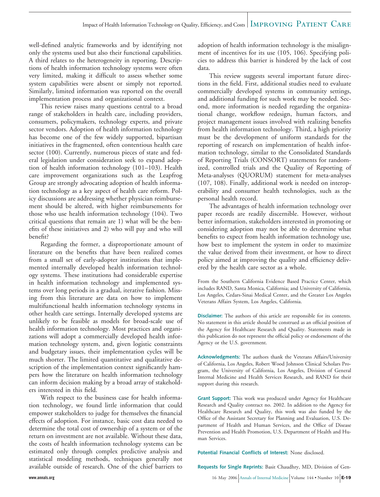well-defined analytic frameworks and by identifying not only the systems used but also their functional capabilities. A third relates to the heterogeneity in reporting. Descriptions of health information technology systems were often very limited, making it difficult to assess whether some system capabilities were absent or simply not reported. Similarly, limited information was reported on the overall implementation process and organizational context.

This review raises many questions central to a broad range of stakeholders in health care, including providers, consumers, policymakers, technology experts, and private sector vendors. Adoption of health information technology has become one of the few widely supported, bipartisan initiatives in the fragmented, often contentious health care sector (100). Currently, numerous pieces of state and federal legislation under consideration seek to expand adoption of health information technology (101–103). Health care improvement organizations such as the Leapfrog Group are strongly advocating adoption of health information technology as a key aspect of health care reform. Policy discussions are addressing whether physician reimbursement should be altered, with higher reimbursements for those who use health information technology (104). Two critical questions that remain are 1) what will be the benefits of these initiatives and 2) who will pay and who will benefit?

Regarding the former, a disproportionate amount of literature on the benefits that have been realized comes from a small set of early-adopter institutions that implemented internally developed health information technology systems. These institutions had considerable expertise in health information technology and implemented systems over long periods in a gradual, iterative fashion. Missing from this literature are data on how to implement multifunctional health information technology systems in other health care settings. Internally developed systems are unlikely to be feasible as models for broad-scale use of health information technology. Most practices and organizations will adopt a commercially developed health information technology system, and, given logistic constraints and budgetary issues, their implementation cycles will be much shorter. The limited quantitative and qualitative description of the implementation context significantly hampers how the literature on health information technology can inform decision making by a broad array of stakeholders interested in this field.

With respect to the business case for health information technology, we found little information that could empower stakeholders to judge for themselves the financial effects of adoption. For instance, basic cost data needed to determine the total cost of ownership of a system or of the return on investment are not available. Without these data, the costs of health information technology systems can be estimated only through complex predictive analysis and statistical modeling methods, techniques generally not available outside of research. One of the chief barriers to

adoption of health information technology is the misalignment of incentives for its use (105, 106). Specifying policies to address this barrier is hindered by the lack of cost data.

This review suggests several important future directions in the field. First, additional studies need to evaluate commercially developed systems in community settings, and additional funding for such work may be needed. Second, more information is needed regarding the organizational change, workflow redesign, human factors, and project management issues involved with realizing benefits from health information technology. Third, a high priority must be the development of uniform standards for the reporting of research on implementation of health information technology, similar to the Consolidated Standards of Reporting Trials (CONSORT) statements for randomized, controlled trials and the Quality of Reporting of Meta-analyses (QUORUM) statement for meta-analyses (107, 108). Finally, additional work is needed on interoperability and consumer health technologies, such as the personal health record.

The advantages of health information technology over paper records are readily discernible. However, without better information, stakeholders interested in promoting or considering adoption may not be able to determine what benefits to expect from health information technology use, how best to implement the system in order to maximize the value derived from their investment, or how to direct policy aimed at improving the quality and efficiency delivered by the health care sector as a whole.

From the Southern California Evidence Based Practice Center, which includes RAND, Santa Monica, California; and University of California, Los Angeles, Cedars-Sinai Medical Center, and the Greater Los Angeles Veterans Affairs System, Los Angeles, California.

**Disclaimer:** The authors of this article are responsible for its contents. No statement in this article should be construed as an official position of the Agency for Healthcare Research and Quality. Statements made in this publication do not represent the official policy or endorsement of the Agency or the U.S. government.

**Acknowledgments:** The authors thank the Veterans Affairs/University of California, Los Angeles, Robert Wood Johnson Clinical Scholars Program, the University of California, Los Angeles, Division of General Internal Medicine and Health Services Research, and RAND for their support during this research.

**Grant Support:** This work was produced under Agency for Healthcare Research and Quality contract no. 2002. In addition to the Agency for Healthcare Research and Quality, this work was also funded by the Office of the Assistant Secretary for Planning and Evaluation, U.S. Department of Health and Human Services, and the Office of Disease Prevention and Health Promotion, U.S. Department of Health and Human Services.

**Potential Financial Conflicts of Interest:** None disclosed.

**Requests for Single Reprints:** Basit Chaudhry, MD, Division of Gen-

**www.annals.org** 16 May 2006 Annals of Internal Medicine Volume 144 • Number 10 **E-19**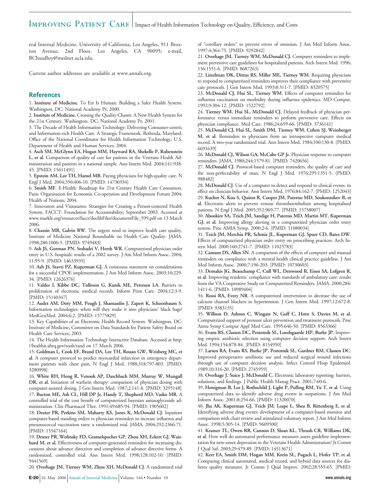eral Internal Medicine, University of California, Los Angeles, 911 Broxton Avenue, 2nd Floor, Los Angeles, CA 90095; e-mail, BChaudhry@mednet.ucla.edu.

Current author addresses are available at www.annals.org.

#### **References**

1. **Institute of Medicine.** To Err Is Human: Building a Safer Health System. Washington, DC: National Academy Pr; 2000.

2. **Institute of Medicine.** Crossing the Quality Chasm: A New Health System for the 21st Century. Washington, DC: National Academy Pr; 2001.

3. The Decade of Health Information Technology: Delivering Consumer-centric and Information-rich Health Care. A Strategic Framework. Bethesda, Maryland: Office of the National Coordinator for Health Information Technology, U.S. Department of Health and Human Services; 2004.

4. **Asch SM, McGlynn EA, Hogan MM, Hayward RA, Shekelle P, Rubenstein L, et al.** Comparison of quality of care for patients in the Veterans Health Administration and patients in a national sample. Ann Intern Med. 2004;141:938- 45. [PMID: 15611491]

5. **Epstein AM, Lee TH, Hamel MB.** Paying physicians for high-quality care. N Engl J Med. 2004;350:406-10. [PMID: 14736934]

6. **Smith MF.** E-Health: Roadmap for 21st Century Health Care Consumers. Paris: Organisation for Economic Co-operation and Development Forum 2004: Health of Nations; 2004.

7. Innovators and Visionaries: Strategies for Creating a Person-centered Health System. FACCT: Foundation for Accountability; September 2003. Accessed at www.markle.org/resources/facct/doclibFiles/documentFile\_599.pdf on 13 March 2006.

8. **Chassin MR, Galvin RW.** The urgent need to improve health care quality. Institute of Medicine National Roundtable on Health Care Quality. JAMA. 1998;280:1000-5. [PMID: 9749483]

9. **Ash JS, Gorman PN, Seshadri V, Hersh WR.** Computerized physician order entry in U.S. hospitals: results of a 2002 survey. J Am Med Inform Assoc. 2004; 11:95-9. [PMID: 14633935]

10. **Ash JS, Stavri PZ, Kuperman GJ.** A consensus statement on considerations for a successful CPOE implementation. J Am Med Inform Assoc. 2003;10:229- 34. [PMID: 12626376]

11. **Valdes I, Kibbe DC, Tolleson G, Kunik ME, Petersen LA.** Barriers to proliferation of electronic medical records. Inform Prim Care. 2004;12:3-9. [PMID: 15140347]

12. **Audet AM, Doty MM, Peugh J, Shamasdin J, Zapert K, Schoenbaum S.** Information technologies: when will they make it into physicians' black bags? MedGenMed. 2004;6:2. [PMID: 15775829]

13. Key Capabilities of an Electronic Health Record System. Washington, DC: Institute of Medicine, Committee on Data Standards for Patient Safety Board on Health Care Services; 2003.

14. The Health Information Technology Interactive Database. Accessed at http: //healthit.ahrq.gov/tools/rand on 17 March 2006.

15. **Goldman L, Cook EF, Brand DA, Lee TH, Rouan GW, Weisberg MC, et al.** A computer protocol to predict myocardial infarction in emergency department patients with chest pain. N Engl J Med. 1988;318:797-803. [PMID: 3280998]

16. **White RH, Hong R, Venook AP, Daschbach MM, Murray W, Mungall DR, et al.** Initiation of warfarin therapy: comparison of physician dosing with computer-assisted dosing. J Gen Intern Med. 1987;2:141-8. [PMID: 3295148] 17. **Burton ME, Ash CL, Hill DP Jr, Handy T, Shepherd MD, Vasko MR.** A controlled trial of the cost benefit of computerized bayesian aminoglycoside administration. Clin Pharmacol Ther. 1991;49:685-94. [PMID: 1905602]

18. **Dexter PR, Perkins SM, Maharry KS, Jones K, McDonald CJ.** Inpatient computer-based standing orders vs physician reminders to increase influenza and pneumococcal vaccination rates: a randomized trial. JAMA. 2004;292:2366-71. [PMID: 15547164]

19. **Dexter PR, Wolinsky FD, Gramelspacher GP, Zhou XH, Eckert GJ, Waisburd M, et al.** Effectiveness of computer-generated reminders for increasing discussions about advance directives and completion of advance directive forms. A randomized, controlled trial. Ann Intern Med. 1998;128:102-10. [PMID: 9441569]

20. **Overhage JM, Tierney WM, Zhou XH, McDonald CJ.** A randomized trial

of "corollary orders" to prevent errors of omission. J Am Med Inform Assoc. 1997;4:364-75. [PMID: 9292842]

21. **Overhage JM, Tierney WM, McDonald CJ.** Computer reminders to implement preventive care guidelines for hospitalized patients. Arch Intern Med. 1996; 156:1551-6. [PMID: 8687263]

22. **Litzelman DK, Dittus RS, Miller ME, Tierney WM.** Requiring physicians to respond to computerized reminders improves their compliance with preventive care protocols. J Gen Intern Med. 1993;8:311-7. [PMID: 8320575]

23. **McDonald CJ, Hui SL, Tierney WM.** Effects of computer reminders for influenza vaccination on morbidity during influenza epidemics. MD Comput. 1992;9:304-12. [PMID: 1522792]

24. **Tierney WM, Hui SL, McDonald CJ.** Delayed feedback of physician performance versus immediate reminders to perform preventive care. Effects on physician compliance. Med Care. 1986;24:659-66. [PMID: 3736141]

25. **McDonald CJ, Hui SL, Smith DM, Tierney WM, Cohen SJ, Weinberger M, et al.** Reminders to physicians from an introspective computer medical record. A two-year randomized trial. Ann Intern Med. 1984;100:130-8. [PMID: 6691639]

26. **McDonald CJ, Wilson GA, McCabe GP Jr.** Physician response to computer reminders. JAMA. 1980;244:1579-81. [PMID: 7420656]

27. **McDonald CJ.** Protocol-based computer reminders, the quality of care and the non-perfectability of man. N Engl J Med. 1976;295:1351-5. [PMID: 988482]

28. **McDonald CJ.** Use of a computer to detect and respond to clinical events: its effect on clinician behavior. Ann Intern Med. 1976;84:162-7. [PMID: 1252043]

29. **Kucher N, Koo S, Quiroz R, Cooper JM, Paterno MD, Soukonnikov B, et al.** Electronic alerts to prevent venous thromboembolism among hospitalized patients. N Engl J Med. 2005;352:969-77. [PMID: 15758007]

30. **Abookire SA, Teich JM, Sandige H, Paterno MD, Martin MT, Kuperman GJ, et al.** Improving allergy alerting in a computerized physician order entry system. Proc AMIA Symp. 2000:2-6. [PMID: 11080034]

31. **Teich JM, Merchia PR, Schmiz JL, Kuperman GJ, Spurr CD, Bates DW.** Effects of computerized physician order entry on prescribing practices. Arch Intern Med. 2000;160:2741-7. [PMID: 11025783]

32. **Cannon DS, Allen SN.** A comparison of the effects of computer and manual reminders on compliance with a mental health clinical practice guideline. J Am Med Inform Assoc. 2000;7:196-203. [PMID: 10730603]

33. **Demakis JG, Beauchamp C, Cull WL, Denwood R, Eisen SA, Lofgren R, et al.** Improving residents' compliance with standards of ambulatory care: results from the VA Cooperative Study on Computerized Reminders. JAMA. 2000;284: 1411-6. [PMID: 10989404]

34. **Rossi RA, Every NR.** A computerized intervention to decrease the use of calcium channel blockers in hypertension. J Gen Intern Med. 1997;12:672-8. [PMID: 9383135]

35. **Willson D, Ashton C, Wingate N, Goff C, Horn S, Davies M, et al.** Computerized support of pressure ulcer prevention and treatment protocols. Proc Annu Symp Comput Appl Med Care. 1995:646-50. [PMID: 8563366]

36. **Evans RS, Classen DC, Pestotnik SL, Lundsgaarde HP, Burke JP.** Improving empiric antibiotic selection using computer decision support. Arch Intern Med. 1994;154:878-84. [PMID: 8154950]

37. **Larsen RA, Evans RS, Burke JP, Pestotnik SL, Gardner RM, Classen DC.** Improved perioperative antibiotic use and reduced surgical wound infections through use of computer decision analysis. Infect Control Hosp Epidemiol. 1989;10:316-20. [PMID: 2745959]

38. **Overhage J, Suico J, McDonald C.** Electronic laboratory reporting: barriers, solutions, and findings. J Public Health Manag Pract. 2001;7:60-6.

39. **Honigman B, Lee J, Rothschild J, Light P, Pulling RM, Yu T, et al.** Using computerized data to identify adverse drug events in outpatients. J Am Med Inform Assoc. 2001;8:254-66. [PMID: 11320070]

40. **Jha AK, Kuperman GJ, Teich JM, Leape L, Shea B, Rittenberg E, et al.** Identifying adverse drug events: development of a computer-based monitor and comparison with chart review and stimulated voluntary report. J Am Med Inform Assoc. 1998;5:305-14. [PMID: 9609500]

41. **Kramer TL, Owen RR, Cannon D, Sloan KL, Thrush CR, Williams DK, et al.** How well do automated performance measures assess guideline implementation for new-onset depression in the Veterans Health Administration? Jt Comm J Qual Saf. 2003;29:479-89. [PMID: 14513671]

42. **Kerr EA, Smith DM, Hogan MM, Krein SL, Pogach L, Hofer TP, et al.** Comparing clinical automated, medical record, and hybrid data sources for diabetes quality measures. Jt Comm J Qual Improv. 2002;28:555-65. [PMID:

**E-20** 16 May 2006 Annals of Internal Medicine Volume 144 • Number 10 **www.annals.org**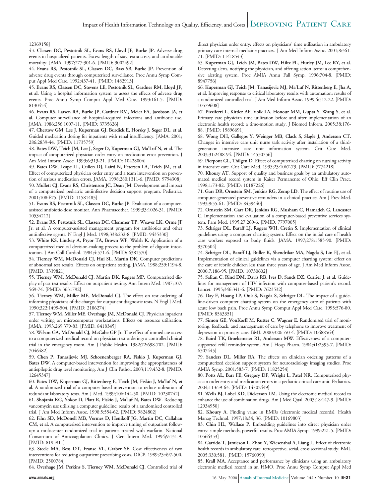### Impact of Health Information Technology on Quality, Efficiency, and Costs | IMPROVING PATIENT CARE

#### 12369158]

43. **Classen DC, Pestotnik SL, Evans RS, Lloyd JF, Burke JP.** Adverse drug events in hospitalized patients. Excess length of stay, extra costs, and attributable mortality. JAMA. 1997;277:301-6. [PMID: 9002492]

44. **Evans RS, Pestotnik SL, Classen DC, Bass SB, Burke JP.** Prevention of adverse drug events through computerized surveillance. Proc Annu Symp Comput Appl Med Care. 1992:437-41. [PMID: 1482913]

45. **Evans RS, Classen DC, Stevens LE, Pestotnik SL, Gardner RM, Lloyd JF, et al.** Using a hospital information system to assess the effects of adverse drug events. Proc Annu Symp Comput Appl Med Care. 1993:161-5. [PMID: 8130454]

46. **Evans RS, Larsen RA, Burke JP, Gardner RM, Meier FA, Jacobson JA, et al.** Computer surveillance of hospital-acquired infections and antibiotic use. JAMA. 1986;256:1007-11. [PMID: 3735626]

47. **Chertow GM, Lee J, Kuperman GJ, Burdick E, Horsky J, Seger DL, et al.** Guided medication dosing for inpatients with renal insufficiency. JAMA. 2001; 286:2839-44. [PMID: 11735759]

48. **Bates DW, Teich JM, Lee J, Seger D, Kuperman GJ, Ma'Luf N, et al.** The impact of computerized physician order entry on medication error prevention. J Am Med Inform Assoc. 1999;6:313-21. [PMID: 10428004]

49. **Bates DW, Leape LL, Cullen DJ, Laird N, Petersen LA, Teich JM, et al.** Effect of computerized physician order entry and a team intervention on prevention of serious medication errors. JAMA. 1998;280:1311-6. [PMID: 9794308] 50. **Mullett CJ, Evans RS, Christenson JC, Dean JM.** Development and impact of a computerized pediatric antiinfective decision support program. Pediatrics. 2001;108:E75. [PMID: 11581483]

51. **Evans RS, Pestotnik SL, Classen DC, Burke JP.** Evaluation of a computerassisted antibiotic-dose monitor. Ann Pharmacother. 1999;33:1026-31. [PMID: 10534212]

52. **Evans RS, Pestotnik SL, Classen DC, Clemmer TP, Weaver LK, Orme JF Jr, et al.** A computer-assisted management program for antibiotics and other antiinfective agents. N Engl J Med. 1998;338:232-8. [PMID: 9435330]

53. **White KS, Lindsay A, Pryor TA, Brown WF, Walsh K.** Application of a computerized medical decision-making process to the problem of digoxin intoxication. J Am Coll Cardiol. 1984;4:571-6. [PMID: 6381570]

54. **Tierney WM, McDonald CJ, Hui SL, Martin DK.** Computer predictions of abnormal test results. Effects on outpatient testing. JAMA. 1988;259:1194-8. [PMID: 3339821]

55. **Tierney WM, McDonald CJ, Martin DK, Rogers MP.** Computerized display of past test results. Effect on outpatient testing. Ann Intern Med. 1987;107: 569-74. [PMID: 3631792]

56. **Tierney WM, Miller ME, McDonald CJ.** The effect on test ordering of informing physicians of the charges for outpatient diagnostic tests. N Engl J Med. 1990;322:1499-504. [PMID: 2186274]

57. **Tierney WM, Miller ME, Overhage JM, McDonald CJ.** Physician inpatient order writing on microcomputer workstations. Effects on resource utilization. JAMA. 1993;269:379-83. [PMID: 8418345]

58. **Wilson GA, McDonald CJ, McCabe GP Jr.** The effect of immediate access to a computerized medical record on physician test ordering: a controlled clinical trial in the emergency room. Am J Public Health. 1982;72:698-702. [PMID: 7046482]

59. **Chen P, Tanasijevic MJ, Schoenenberger RA, Fiskio J, Kuperman GJ, Bates DW.** A computer-based intervention for improving the appropriateness of antiepileptic drug level monitoring. Am J Clin Pathol. 2003;119:432-8. [PMID: 12645347]

60. **Bates DW, Kuperman GJ, Rittenberg E, Teich JM, Fiskio J, Ma'luf N, et al.** A randomized trial of a computer-based intervention to reduce utilization of redundant laboratory tests. Am J Med. 1999;106:144-50. [PMID: 10230742]

61. **Shojania KG, Yokoe D, Platt R, Fiskio J, Ma'luf N, Bates DW.** Reducing vancomycin use utilizing a computer guideline: results of a randomized controlled trial. J Am Med Inform Assoc. 1998;5:554-62. [PMID: 9824802]

62. **Fihn SD, McDonell MB, Vermes D, Henikoff JG, Martin DC, Callahan CM, et al.** A computerized intervention to improve timing of outpatient followup: a multicenter randomized trial in patients treated with warfarin. National Consortium of Anticoagulation Clinics. J Gen Intern Med. 1994;9:131-9. [PMID: 8195911]

63. **Steele MA, Bess DT, Franse VL, Graber SE.** Cost effectiveness of two interventions for reducing outpatient prescribing costs. DICP. 1989;23:497-500. [PMID: 2500784]

64. **Overhage JM, Perkins S, Tierney WM, McDonald CJ.** Controlled trial of

direct physician order entry: effects on physicians' time utilization in ambulatory primary care internal medicine practices. J Am Med Inform Assoc. 2001;8:361- 71. [PMID: 11418543]

65. **Kuperman GJ, Teich JM, Bates DW, Hiltz FL, Hurley JM, Lee RY, et al.** Detecting alerts, notifying the physician, and offering action items: a comprehensive alerting system. Proc AMIA Annu Fall Symp. 1996:704-8. [PMID: 8947756]

66. **Kuperman GJ, Teich JM, Tanasijevic MJ, Ma'Luf N, Rittenberg E, Jha A, et al.** Improving response to critical laboratory results with automation: results of a randomized controlled trial. J Am Med Inform Assoc. 1999;6:512-22. [PMID: 10579608]

67. **Pizziferri L, Kittler AF, Volk LA, Honour MM, Gupta S, Wang S, et al.** Primary care physician time utilization before and after implementation of an electronic health record: a time-motion study. J Biomed Inform. 2005;38:176- 88. [PMID: 15896691]

68. **Wong DH, Gallegos Y, Weinger MB, Clack S, Slagle J, Anderson CT.** Changes in intensive care unit nurse task activity after installation of a thirdgeneration intensive care unit information system. Crit Care Med. 2003;31:2488-94. [PMID: 14530756]

69. **Pierpont GL, Thilgen D.** Effect of computerized charting on nursing activity in intensive care. Crit Care Med. 1995;23:1067-73. [PMID: 7774218]

70. **Khoury AT.** Support of quality and business goals by an ambulatory automated medical record system in Kaiser Permanente of Ohio. Eff Clin Pract. 1998;1:73-82. [PMID: 10187226]

71. **Garr DR, Ornstein SM, Jenkins RG, Zemp LD.** The effect of routine use of computer-generated preventive reminders in a clinical practice. Am J Prev Med. 1993;9:55-61. [PMID: 8439440]

72. **Ornstein SM, Garr DR, Jenkins RG, Musham C, Hamadeh G, Lancaster C.** Implementation and evaluation of a computer-based preventive services system. Fam Med. 1995;27:260-6. [PMID: 7797005]

73. **Schriger DL, Baraff LJ, Rogers WH, Cretin S.** Implementation of clinical guidelines using a computer charting system. Effect on the initial care of health care workers exposed to body fluids. JAMA. 1997;278:1585-90. [PMID: 9370504]

74. **Schriger DL, Baraff LJ, Buller K, Shendrikar MA, Nagda S, Lin EJ, et al.** Implementation of clinical guidelines via a computer charting system: effect on the care of febrile children less than three years of age. J Am Med Inform Assoc. 2000;7:186-95. [PMID: 10730602]

75. **Safran C, Rind DM, Davis RB, Ives D, Sands DZ, Currier J, et al.** Guidelines for management of HIV infection with computer-based patient's record. Lancet. 1995;346:341-6. [PMID: 7623532]

76. **Day F, Hoang LP, Ouk S, Nagda S, Schriger DL.** The impact of a guideline-driven computer charting system on the emergency care of patients with acute low back pain. Proc Annu Symp Comput Appl Med Care. 1995:576-80. [PMID: 8563351]

77. **Simon GE, VonKorff M, Rutter C, Wagner E.** Randomised trial of monitoring, feedback, and management of care by telephone to improve treatment of depression in primary care. BMJ. 2000;320:550-4. [PMID: 10688563]

78. **Baird TK, Broekemeier RL, Anderson MW.** Effectiveness of a computersupported refill reminder system. Am J Hosp Pharm. 1984;41:2395-7. [PMID: 6507445]

79. **Sanders DL, Miller RA.** The effects on clinician ordering patterns of a computerized decision support system for neuroradiology imaging studies. Proc AMIA Symp. 2001:583-7. [PMID: 11825254]

80. **Potts AL, Barr FE, Gregory DF, Wright L, Patel NR.** Computerized physician order entry and medication errors in a pediatric critical care unit. Pediatrics. 2004;113:59-63. [PMID: 14702449]

81. **Wells BJ, Lobel KD, Dickerson LM.** Using the electronic medical record to enhance the use of combination drugs. Am J Med Qual. 2003;18:147-9. [PMID: 12934950]

82. **Khoury A.** Finding value in EMRs (electronic medical records). Health Manag Technol. 1997;18:34, 36. [PMID: 10169803]

83. **Chin HL, Wallace P.** Embedding guidelines into direct physician order entry: simple methods, powerful results. Proc AMIA Symp. 1999:221-5. [PMID: 10566353]

84. **Garrido T, Jamieson L, Zhou Y, Wiesenthal A, Liang L.** Effect of electronic health records in ambulatory care: retrospective, serial, cross sectional study. BMJ. 2005;330:581. [PMID: 15760999]

85. **Krall MA.** Acceptance and performance by clinicians using an ambulatory electronic medical record in an HMO. Proc Annu Symp Comput Appl Med

**www.annals.org** 16 May 2006 Annals of Internal Medicine Volume 144 • Number 10 **E-21**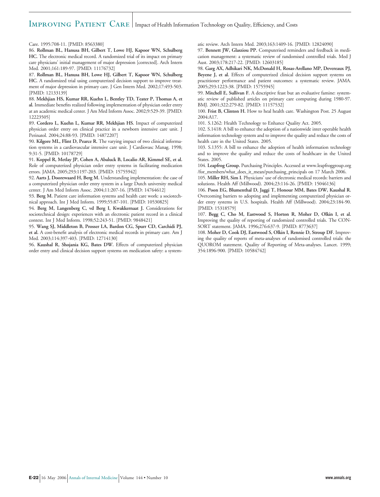#### IMPROVING PATIENT CARE Impact of Health Information Technology on Quality, Efficiency, and Costs

Care. 1995:708-11. [PMID: 8563380]

86. **Rollman BL, Hanusa BH, Gilbert T, Lowe HJ, Kapoor WN, Schulberg HC.** The electronic medical record. A randomized trial of its impact on primary care physicians' initial management of major depression [corrected]. Arch Intern Med. 2001;161:189-97. [PMID: 11176732]

87. **Rollman BL, Hanusa BH, Lowe HJ, Gilbert T, Kapoor WN, Schulberg HC.** A randomized trial using computerized decision support to improve treatment of major depression in primary care. J Gen Intern Med. 2002;17:493-503. [PMID: 12133139]

88. **Mekhjian HS, Kumar RR, Kuehn L, Bentley TD, Teater P, Thomas A, et al.** Immediate benefits realized following implementation of physician order entry at an academic medical center. J Am Med Inform Assoc. 2002;9:529-39. [PMID: 12223505]

89. **Cordero L, Kuehn L, Kumar RR, Mekhjian HS.** Impact of computerized physician order entry on clinical practice in a newborn intensive care unit. J Perinatol. 2004;24:88-93. [PMID: 14872207]

90. **Kilgore ML, Flint D, Pearce R.** The varying impact of two clinical information systems in a cardiovascular intensive care unit. J Cardiovasc Manag. 1998; 9:31-5. [PMID: 10178729]

91. **Koppel R, Metlay JP, Cohen A, Abaluck B, Localio AR, Kimmel SE, et al.** Role of computerized physician order entry systems in facilitating medication errors. JAMA. 2005;293:1197-203. [PMID: 15755942]

92. **Aarts J, Doorewaard H, Berg M.** Understanding implementation: the case of a computerized physician order entry system in a large Dutch university medical center. J Am Med Inform Assoc. 2004;11:207-16. [PMID: 14764612]

93. **Berg M.** Patient care information systems and health care work: a sociotechnical approach. Int J Med Inform. 1999;55:87-101. [PMID: 10530825]

94. **Berg M, Langenberg C, vd Berg I, Kwakkernaat J.** Considerations for sociotechnical design: experiences with an electronic patient record in a clinical context. Int J Med Inform. 1998;52:243-51. [PMID: 9848421]

95. **Wang SJ, Middleton B, Prosser LA, Bardon CG, Spurr CD, Carchidi PJ, et al.** A cost-benefit analysis of electronic medical records in primary care. Am J Med. 2003;114:397-403. [PMID: 12714130]

96. **Kaushal R, Shojania KG, Bates DW.** Effects of computerized physician order entry and clinical decision support systems on medication safety: a systematic review. Arch Intern Med. 2003;163:1409-16. [PMID: 12824090]

97. **Bennett JW, Glasziou PP.** Computerised reminders and feedback in medication management: a systematic review of randomised controlled trials. Med J Aust. 2003;178:217-22. [PMID: 12603185]

98. **Garg AX, Adhikari NK, McDonald H, Rosas-Arellano MP, Devereaux PJ, Beyene J, et al.** Effects of computerized clinical decision support systems on practitioner performance and patient outcomes: a systematic review. JAMA. 2005;293:1223-38. [PMID: 15755945]

99. **Mitchell E, Sullivan F.** A descriptive feast but an evaluative famine: systematic review of published articles on primary care computing during 1980-97. BMJ. 2001;322:279-82. [PMID: 11157532]

100. **Frist B, Clinton H.** How to heal health care. Washington Post. 25 August 2004:A17.

101. S.1262: Health Technology to Enhance Quality Act. 2005.

102. S.1418: A bill to enhance the adoption of a nationwide inter operable health information technology system and to improve the quality and reduce the costs of health care in the United States. 2005.

103. S.1355: A bill to enhance the adoption of health information technology and to improve the quality and reduce the costs of healthcare in the United States. 2005.

104. **Leapfrog Group.** Purchasing Principles. Accessed at www.leapfroggroup.org /for\_members/what\_does\_it\_mean/purchasing\_principals on 17 March 2006.

105. **Miller RH, Sim I.** Physicians' use of electronic medical records: barriers and solutions. Health Aff (Millwood). 2004;23:116-26. [PMID: 15046136]

106. **Poon EG, Blumenthal D, Jaggi T, Honour MM, Bates DW, Kaushal R.** Overcoming barriers to adopting and implementing computerized physician order entry systems in U.S. hospitals. Health Aff (Millwood). 2004;23:184-90. [PMID: 15318579]

107. **Begg C, Cho M, Eastwood S, Horton R, Moher D, Olkin I, et al.** Improving the quality of reporting of randomized controlled trials. The CON-SORT statement. JAMA. 1996;276:637-9. [PMID: 8773637]

108. **Moher D, Cook DJ, Eastwood S, Olkin I, Rennie D, Stroup DF.** Improving the quality of reports of meta-analyses of randomised controlled trials: the QUOROM statement. Quality of Reporting of Meta-analyses. Lancet. 1999; 354:1896-900. [PMID: 10584742]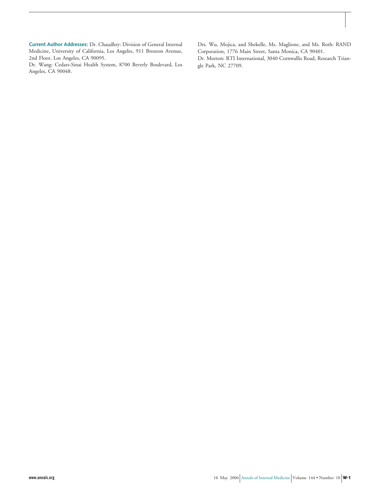**Current Author Addresses:** Dr. Chaudhry: Division of General Internal Medicine, University of California, Los Angeles, 911 Broxton Avenue, 2nd Floor, Los Angeles, CA 90095.

Dr. Wang: Cedars-Sinai Health System, 8700 Beverly Boulevard, Los Angeles, CA 90048.

Drs. Wu, Mojica, and Shekelle, Ms. Maglione, and Ms. Roth: RAND Corporation, 1776 Main Street, Santa Monica, CA 90401. Dr. Morton: RTI International, 3040 Cornwallis Road, Research Triangle Park, NC 27709.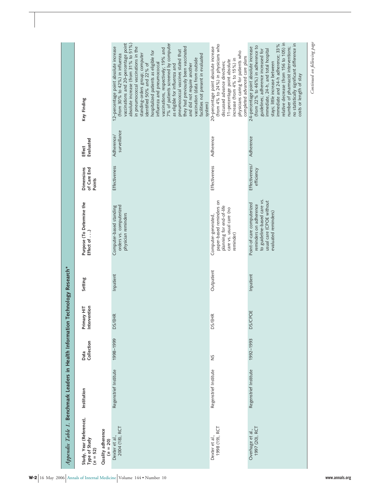| Appendix Table 1. Benchmark Leaders in Health Information Technology Research*             |                       |                    |                             |            |                                                                                                                                         |                                            |                            |                                                                                                                                                                                                                                                                                                                                                                                                                                                                                                                                                                                                                                                   |
|--------------------------------------------------------------------------------------------|-----------------------|--------------------|-----------------------------|------------|-----------------------------------------------------------------------------------------------------------------------------------------|--------------------------------------------|----------------------------|---------------------------------------------------------------------------------------------------------------------------------------------------------------------------------------------------------------------------------------------------------------------------------------------------------------------------------------------------------------------------------------------------------------------------------------------------------------------------------------------------------------------------------------------------------------------------------------------------------------------------------------------------|
| Study, Year (Reference),<br>Quality adherence<br>Type of Study<br>$(n = 20)$<br>$(n = 52)$ | Institution           | Collection<br>Data | Intervention<br>Primary HIT | Setting    | Purpose (To Determine the<br>Effect of )                                                                                                | <b>Dimensions</b><br>of Care End<br>Points | Evaluated<br>Effect        | Key Finding                                                                                                                                                                                                                                                                                                                                                                                                                                                                                                                                                                                                                                       |
| 2004 (18), RCT<br>Dexter et al.,                                                           | Regenstrief Institute | 1998-1999          | <b>DS/EHR</b>               | Inpatient  | Computer-based standing<br>orders vs. computerized<br>physician reminders                                                               | Effectiveness                              | surveillance<br>Adherence/ | vaccinations and 20-percentage point<br>absolute increase (from 31% to 51%)<br>7% of patients screened by computer<br>they had previously been vaccinated<br>2-percentage point absolute increase<br>in pneumococcal vaccinations in the<br>vaccinations, respectively; 19% and<br>pneumococcal vaccines stated that<br>hospitalized patients as eligible for<br>facilities not present in evaluated<br>standing-orders group; computer<br>(from 30% to 42%) in influenza<br>vaccination (data from outside<br>identified 50% and 22% of<br>influenza and pneumococcal<br>and did not require another<br>as eligible for influenza and<br>system) |
| 1998 (19), RCT<br>Dexter et al.,                                                           | Regenstrief Institute | š                  | <b>DS/EHR</b>               | Outpatient | paper-based reminders on<br>planning for end-of-life<br>care vs. usual care (no<br>Computer-generated,<br>reminder)                     | Effectiveness                              | Adherence                  | (from 4% to 24%) in physicians who<br>20-percentage point absolute increase<br>physicians caring for patients who<br>completed advanced care plans<br>increase (from 4% to 15%) in<br>11-percentage point absolute<br>discussed advance directives;                                                                                                                                                                                                                                                                                                                                                                                               |
| 1997 (20), RCT<br>Overhage et al.,                                                         | Regenstrief Institute | 1992-1993          | <b>DS/CPOE</b>              | Inpatient  | to guideline-based care vs.<br>usual care (CPOE without<br>Point-of-care computerized<br>reminders on adherence<br>evaluated reminders) | Effectiveness/<br>efficiency               | Adherence                  | relative decrease (from 156 to 105) in<br>no statistically significant difference in<br>immediate and 24-h adherence; 33%<br>(from 22% to 46%) in adherence to<br>number of pharmacist interventions;<br>24-percentage point absolute increase<br>immediate, 24-h, and total hospital<br>guidelines; adherence increased for<br>stays; little increase between<br>costs or length of stay                                                                                                                                                                                                                                                         |

Ť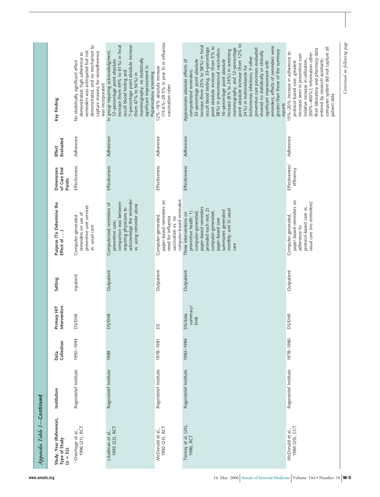|                            | Key Finding<br>Evaluated<br>Effect<br>Dimensions<br>of Care End<br>Points | demonstrated, and no mechanism to<br>reminders was anticipated but not<br>capture reasons for nonadherence<br>demonstrated; high adherence to<br>No statistically significant effect<br>was incorporated<br>Adherence<br>Effectiveness | 7-percentage point absolute increase<br>12-percentage point absolute<br>increase (from 49% to 61%) in fecal<br>In group requiring acknowledgment,<br>mammography; no statistically<br>significant improvement in<br>occult blood testing and<br>Papanicolaou screening<br>(from 47% to 54%) in<br>Adherence<br><b>Effectiveness</b> | (15.6%-29.5% in year 3) in influenza<br>12%-18% absolute increase<br>vaccination rates<br>Adherence<br>Effectiveness   | point absolute increase (from 12% to<br>increase (from 25% to 58%) in fecal<br>reminders; effects of reminders were<br>point absolute increase (from 5% to<br>occult blood testing, 33-percentage<br>38%) in pneumococcal vaccination,<br>mammography, and 12-percentage<br>preventive care processes evaluated<br>increase (8% to 24%) in screening<br>greater than those of the summary<br>showed no statistically or clinically<br>trichomonas infections; 9 other<br>16-percentage point absolute<br>33-percentage point absolute<br>Approximate absolute effects of<br>significant improvement with<br>24%) in metronidazole for<br>computerized reminders:<br>reports<br>Adherence<br><b>Effectiveness</b> | computer system did not capture all<br>than laboratory and pharmacy data<br>15%-20% increase in adherence to<br>200%-400%); information other<br>increases seen in preventive care<br>(relative increase in utilization,<br>entered by research assistants;<br>protocol-based care; greatest<br>patient data<br>Adherence<br>Effectiveness/<br>efficiency |
|----------------------------|---------------------------------------------------------------------------|----------------------------------------------------------------------------------------------------------------------------------------------------------------------------------------------------------------------------------------|-------------------------------------------------------------------------------------------------------------------------------------------------------------------------------------------------------------------------------------------------------------------------------------------------------------------------------------|------------------------------------------------------------------------------------------------------------------------|------------------------------------------------------------------------------------------------------------------------------------------------------------------------------------------------------------------------------------------------------------------------------------------------------------------------------------------------------------------------------------------------------------------------------------------------------------------------------------------------------------------------------------------------------------------------------------------------------------------------------------------------------------------------------------------------------------------|-----------------------------------------------------------------------------------------------------------------------------------------------------------------------------------------------------------------------------------------------------------------------------------------------------------------------------------------------------------|
|                            | Purpose (To Determine the<br>Effect of )                                  | preventive care services<br>reminders on use of<br>Computer-generated<br>vs. usual care                                                                                                                                                | acknowledge the reminder<br>comparison was between<br>Computerized reminders of<br>vs. using reminder alone<br>requiring physicians to<br>preventive care;                                                                                                                                                                          | computer-based reminders<br>paper-based reminders on<br>Computer-generated<br>need for influenza<br>vaccination vs. no | paper-based reminders<br>provided each visit; 2)<br>monthly; and 3) usual<br>summaries generated<br>computer-generated,<br>computer-generated,<br>preventive health: 1)<br>Three interventions on<br>paper-based care<br>care                                                                                                                                                                                                                                                                                                                                                                                                                                                                                    | paper-based reminders on<br>usual care (no reminders)<br>protocol-based care vs.<br>Computer-generated<br>adherence to                                                                                                                                                                                                                                    |
|                            | Setting                                                                   | Inpatient                                                                                                                                                                                                                              | Outpatient                                                                                                                                                                                                                                                                                                                          | Outpatient                                                                                                             | Outpatient                                                                                                                                                                                                                                                                                                                                                                                                                                                                                                                                                                                                                                                                                                       | Outpatient                                                                                                                                                                                                                                                                                                                                                |
|                            | Primary HIT<br>Intervention                                               | <b>SS/EHR</b><br>≏                                                                                                                                                                                                                     | <b>DS/EHR</b>                                                                                                                                                                                                                                                                                                                       | ΡS                                                                                                                     | summary/<br>DS/data<br>EHR                                                                                                                                                                                                                                                                                                                                                                                                                                                                                                                                                                                                                                                                                       | <b>DS/EHR</b>                                                                                                                                                                                                                                                                                                                                             |
|                            | Collection<br>Data                                                        | 1992-1993                                                                                                                                                                                                                              | 1989                                                                                                                                                                                                                                                                                                                                | 1978-1981                                                                                                              | 1983-1984                                                                                                                                                                                                                                                                                                                                                                                                                                                                                                                                                                                                                                                                                                        | 1978-1980                                                                                                                                                                                                                                                                                                                                                 |
|                            | Institution                                                               | Regenstrief Institute                                                                                                                                                                                                                  | Regenstrief Institute                                                                                                                                                                                                                                                                                                               | Regenstrief Institute                                                                                                  | Regenstrief Institute                                                                                                                                                                                                                                                                                                                                                                                                                                                                                                                                                                                                                                                                                            | Regenstrief Institute                                                                                                                                                                                                                                                                                                                                     |
| Appendix Table 1-Continued | Study, Year (Reference),<br>Type of Study<br>$(n = 52)$                   | 1996 (21), RCT<br>Overhage et al.,                                                                                                                                                                                                     | 1993 (22), RCT<br>Litzelman et al.,                                                                                                                                                                                                                                                                                                 | 1992 (23), RCT<br>McDonald et al.,                                                                                     | Tierney et al. (24),<br>1986, RCT                                                                                                                                                                                                                                                                                                                                                                                                                                                                                                                                                                                                                                                                                | 1984 (25), CCT<br>McDonald et al.,                                                                                                                                                                                                                                                                                                                        |

Continued on following page *Continued on following page*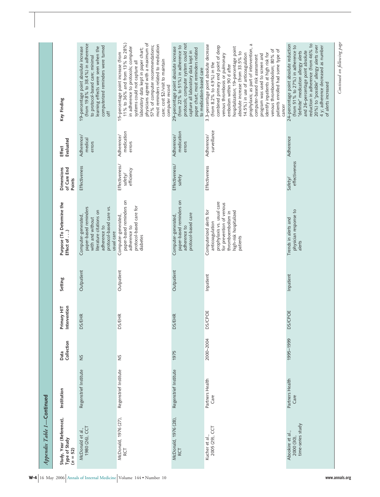| Appendix Table 1-Continued                              |                         |                    |                             |            |                                                                                                                                                                  |                                         |                                    |                                                                                                                                                                                                                                                                                                                                                                                                                                                                                                                                     |
|---------------------------------------------------------|-------------------------|--------------------|-----------------------------|------------|------------------------------------------------------------------------------------------------------------------------------------------------------------------|-----------------------------------------|------------------------------------|-------------------------------------------------------------------------------------------------------------------------------------------------------------------------------------------------------------------------------------------------------------------------------------------------------------------------------------------------------------------------------------------------------------------------------------------------------------------------------------------------------------------------------------|
| Study, Year (Reference),<br>Type of Study<br>$(n = 52)$ | Institution             | Collection<br>Data | Primary HIT<br>Intervention | Setting    | Purpose (To Determine the<br>Effect of )                                                                                                                         | Dimensions<br>of Care End<br>Points     | Evaluated<br>Effect                | Key Finding                                                                                                                                                                                                                                                                                                                                                                                                                                                                                                                         |
| 1980 (26), CCT<br>McDonald et al.,                      | Regenstrief Institute   | SN                 | <b>DS/EHR</b>               | Outpatient | paper-based reminders<br>protocol-based care vs.<br>literature citations on<br>Computer-generated,<br>with and without<br>adherence to<br>usual care             | Effectiveness                           | Adherence/<br>medical<br>errors    | (from 19.8% to 38.4%) in adherence<br>computerized reminders were turned<br>learning effects were seen when the<br>19-percentage point absolute increase<br>to protocol-based care; minimal<br>off                                                                                                                                                                                                                                                                                                                                  |
| McDonald, 1976 (27),<br>RCT                             | Regenstrief Institute   | š                  | <b>DS/EHR</b>               | Outpatient | paper-based reminders on<br>protocol-based care for<br>Computer-generated<br>adherence to<br>diabetes                                                            | Effectiveness/<br>efficiency<br>safety/ | medication<br>Adherence/<br>errors | 11% to 36% and from 13% to 28%)<br>physicians agreed with a maximum of<br>most reminders related to medication<br>57% of computer recommendations;<br>in adherence to protocols; computer<br>laboratory data kept in paper chart;<br>15-percentage point increase (from<br>care; cost \$2/visit to maintain<br>systems could not capture all<br>computer record                                                                                                                                                                     |
| McDonald, 1976 (28),<br><b>RCT</b>                      | Regenstrief Institute   | 1975               | <b>DS/EHR</b>               | Outpatient | paper-based reminders on<br>protocol-based care<br>Computer-generated<br>adherence to                                                                            | Effectiveness/<br>safety                | medication<br>Adherence/<br>errors | protocols; computer system could not<br>(from 22% to 51%) in adherence to<br>29-percentage point absolute increase<br>paper chart; most reminders related<br>capture all laboratory data kept in<br>to medication-based care                                                                                                                                                                                                                                                                                                        |
| 2005 (29), CCT<br>Kucher et al.,                        | Partners Health<br>Care | 2000-2004          | <b>DS/CPOE</b>              | Inpatient  | prophylaxis vs. usual care<br>for prevention of venous<br>Computerized alerts for<br>high-risk hospitalized<br>thromboembolism in<br>anticoagulation<br>patients | Effectiveness                           | surveillance<br>Adherence/         | prophylaxis; as part of intervention, a<br>3.3-percentage point absolute decrease<br>combined primary end point of deep<br>hospitalization; 19-percentage point<br>venous thromboembolism; 80% of<br>patients enrolled had some type of<br>absolute increase (from 33.5% to<br>identify inpatients at high risk for<br>14.5%) in use of anticoagulation<br>venous thrombosis or pulmonary<br>program was used to screen and<br>computer-based risk assessment<br>(from 8.2% to 4.9%) in the<br>embolism within 90 d after<br>cancer |
| time-series study<br>Abookire et al.<br>2000 (30),      | Partners Health<br>Care | 1995-1999          | <b>DS/CPOE</b>              | Inpatient  | physician response to<br>Trends in alerts and<br>alerts                                                                                                          | effectiveness<br>Safety/                | Adherence                          | 24-percentage point absolute reduction<br>reduction in adherence (from 46% to<br>20%) to "possible" allergy alerts over<br>(from 51% to 27%) in adherence to<br>4 y; adherence decreased as number<br>and 26-percentage point absolute<br>"definite" medication allergy alerts<br>of alerts increased                                                                                                                                                                                                                               |
|                                                         |                         |                    |                             |            |                                                                                                                                                                  |                                         |                                    | Continued on following page                                                                                                                                                                                                                                                                                                                                                                                                                                                                                                         |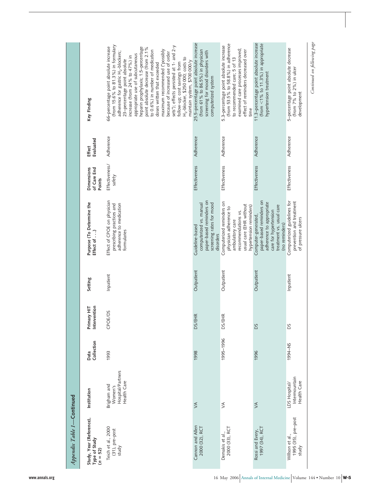| Appendix Table 1-Continued                              |                                                            |                    |                             |            |                                                                                                                                                     |                                            |                     |                                                                                                                                                                                                                                                                                                                                                                                                                                                                                                                                                                                                                      |
|---------------------------------------------------------|------------------------------------------------------------|--------------------|-----------------------------|------------|-----------------------------------------------------------------------------------------------------------------------------------------------------|--------------------------------------------|---------------------|----------------------------------------------------------------------------------------------------------------------------------------------------------------------------------------------------------------------------------------------------------------------------------------------------------------------------------------------------------------------------------------------------------------------------------------------------------------------------------------------------------------------------------------------------------------------------------------------------------------------|
| Study, Year (Reference),<br>Type of Study<br>$(n = 52)$ | Institution                                                | Collection<br>Data | Primary HIT<br>Intervention | Setting    | Purpose (To Determine the<br>Effect of )                                                                                                            | <b>Dimensions</b><br>of Care End<br>Points | Evaluated<br>Effect | Key Finding                                                                                                                                                                                                                                                                                                                                                                                                                                                                                                                                                                                                          |
| Teich et al., 2000<br>(31), pre-post<br>study           | Hospital/Partners<br>Health Care<br>Brigham and<br>Women's | 1993               | <b>OE/DS</b><br>ී           | Inpatient  | Effect of CPOE on physician<br>adherence to medication<br>prescribing practices and<br>formularies                                                  | Effectiveness/<br>safety                   | Adherence           | (from 15.6% to 81.3%) in formulary<br>sets"); effects persisted at 1- and 2-y<br>66-percentage point absolute increase<br>heparin prophylaxis; 1.5-percentage<br>point absolute decrease (from 2.1%<br>maximum recommended ("possibly<br>to 0.6%) in number of medication<br>adherence for gastric H <sub>2</sub> -blockers;<br>because of increased use of order<br>appropriate use of subcutaneous<br>increase (from 24% to 47%) in<br>H <sub>2</sub> -blocker, \$250 000; costs to<br>23-percentage point absolute<br>maintain system, \$700 000/y<br>follow-up; cost savings from<br>doses written that exceeded |
| Cannon and Allen<br>2000 (32), RCT                      | $\leq$                                                     | 1998               | DS/EHR                      | Outpatient | paper-based reminders on<br>computerized vs. manual<br>screening rates for mood<br>Guideline-based<br>disorders                                     | Effectiveness                              | Adherence           | 25.5-percentage point absolute increase<br>(from 61% to 86.5%) in physician<br>screening for mood disorders with<br>computerized system                                                                                                                                                                                                                                                                                                                                                                                                                                                                              |
| 2000 (33), RCT<br>Demakis et al.,                       | $\leq$                                                     | 1995-1996          | <b>DS/EHR</b>               | Outpatient | Computerized reminders on<br>usual care (EHR without<br>hypertension reminders)<br>physician adherence to<br>recommendations vs.<br>ambulatory care | Effectiveness                              | Adherence           | (from 53.5% to 58.8%) in adherence<br>5.3-percentage point absolute increase<br>examined care processes improved;<br>effect of reminders decreased over<br>to recommended care; 5 of 13<br>time                                                                                                                                                                                                                                                                                                                                                                                                                      |
| 1997 (34), RCT<br>Rossi and Every,                      | $\leq$                                                     | 1996               | SQ                          | Outpatient | paper-based reminders on<br>adherence to appropriate<br>treatment vs. usual care<br>care for hypertension<br>Computer-generated,<br>(no reminders)  | Effectiveness                              | Adherence           | 11.3-percentage point absolute increase<br>(from $<$ 1% to 11.3%) in appropriate<br>hypertension treatment                                                                                                                                                                                                                                                                                                                                                                                                                                                                                                           |
| 1995 (35), pre–post<br>study<br>Willson et al.,         | Intermountain<br>Health Care<br>LDS Hospital/              | 1994-NS            | Σq                          | Inpatient  | Computerized guidelines for<br>prevention and treatment<br>of pressure ulcers                                                                       | Effectiveness                              | Adherence           | 5-percentage point absolute decrease<br>(from 7% to 2%) in ulcer<br>development                                                                                                                                                                                                                                                                                                                                                                                                                                                                                                                                      |

*Continued on following page*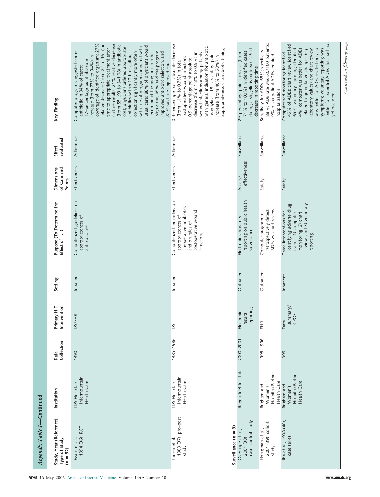| Appendix Table 1-Continued                                               |                                                            |                    |                                   |            |                                                                                                                                             |                                     |                     |                                                                                                                                                                                                                                                                                                                                                                                                                                                                                                                                                                                                                                                                                             |
|--------------------------------------------------------------------------|------------------------------------------------------------|--------------------|-----------------------------------|------------|---------------------------------------------------------------------------------------------------------------------------------------------|-------------------------------------|---------------------|---------------------------------------------------------------------------------------------------------------------------------------------------------------------------------------------------------------------------------------------------------------------------------------------------------------------------------------------------------------------------------------------------------------------------------------------------------------------------------------------------------------------------------------------------------------------------------------------------------------------------------------------------------------------------------------------|
| Study, Year (Reference),<br>Type of Study<br>$(n = 52)$                  | Institution                                                | Collection<br>Data | Intervention<br>Primary HIT       | Setting    | Purpose (To Determine the<br>Effect of )                                                                                                    | Dimensions<br>of Care End<br>Points | Evaluated<br>Effect | Key Finding                                                                                                                                                                                                                                                                                                                                                                                                                                                                                                                                                                                                                                                                                 |
| 1994 (36), RCT<br>Evans et al.,                                          | Intermountain<br>Health Care<br>LDS Hospital/              | 1990               | <b>DS/EHR</b>                     | Inpatient  | Computerized guidelines on<br>appropriateness of<br>antibiotic use                                                                          | Effectiveness                       | Adherence           | coverage of identified organism; 27%<br>relative decrease (from 22 to 16 h) in<br>culture results; 21% relative decrease<br>(from \$51.93 to \$41.08) in antibiotic<br>usual care; 88% of physicians would<br>with use of program compared with<br>cost; physicians ordered appropriate<br>time to appropriate treatment after<br>Computer program suggested correct<br>physicians, 85% said the program<br>collection significantly more often<br>recommend the program to other<br>improved antibiotic selection, and<br>antibiotics within 12 h of culture<br>increase (from 77% to 94%) in<br>17-percentage point absolute<br>81% said use improved care<br>antibiotic in 94% of cases; |
| 1989 (37), pre-post<br>Surveillance $(n = 9)$<br>Larsen et al.,<br>study | Intermountain<br>Health Care<br>LDS Hospital/              | 1985-1986          | ΡS                                | Inpatient  | Computerized reminders on<br>preoperative antibiotics<br>postoperative wound<br>appropriateness of<br>and on rates of<br>infections         | Effectiveness                       | Adherence           | 0.4-percentage point absolute decrease<br>with general indication for antibiotic<br>appropriateness of antibiotic timing<br>wound infections among patients<br>decrease (from 1.8% to 0.9%) in<br>prophylaxis; 18-percentage point<br>increase (from 40% to 58%) in<br>postoperative wound infections;<br>0.9-percentage point absolute<br>(from 1.1% to 0.7%) in total                                                                                                                                                                                                                                                                                                                     |
| case-control study<br>Overhage et al.,<br>2001 (38)                      | Regenstrief Institute                                      | 2000-2001          | eporting<br>Electronic<br>results | Outpatient | reporting on public health<br>Electronic laboratory<br>surveillance                                                                         | effectiveness<br>Access/            | Surveillance        | during a shigellosis outbreak; 2.5-d<br>71% to 100%) in identified cases<br>29-percentage point increase (from<br>decrease in reporting time                                                                                                                                                                                                                                                                                                                                                                                                                                                                                                                                                |
| 2001 (39), cohort<br>Honigman et al.,<br>study                           | Hospital/Partners<br>Health Care<br>Brigham and<br>Women's | 1995-1996          | EHR                               | Outpatient | ADEs vs. chart review<br>retrospectively detect<br>Computer program to                                                                      | Safety                              | Surveillance        | 88%; ADE rate was 5.5/100 patients;<br>Sensitivity for ADEs, 58%; specificity,<br>9% of outpatient ADEs required<br>hospitalization                                                                                                                                                                                                                                                                                                                                                                                                                                                                                                                                                         |
| Jha et al., 1998 (40),<br>case series                                    | Hospital/Partners<br>Health Care<br>Brigham and<br>Women's | 1995               | summary/<br>CPOE<br>Data          | Inpatient  | monitoring, 2) chart<br>review, and 3) voluntary<br>identifying adverse drug<br>Three interventions for<br>events: 1) computer<br>reporting | Safety                              | Surveillance        | better for potential ADEs that had not<br>45% of ADEs; chart review identified<br>related to quantitative changes (e.g.,<br>was better for ADEs related only to<br>4%; computer was better for ADEs<br>symptoms; voluntary reporting was<br>65%; voluntary reporting identified<br>laboratory values) and chart review<br>Computerized monitoring identified<br>yet occurred                                                                                                                                                                                                                                                                                                                |
|                                                                          |                                                            |                    |                                   |            |                                                                                                                                             |                                     |                     | Continued on following page                                                                                                                                                                                                                                                                                                                                                                                                                                                                                                                                                                                                                                                                 |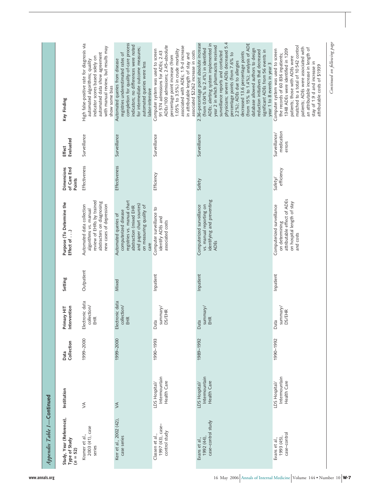| Study, Year (Reference),<br>Type of Study<br>$(n = 52)$ | Institution                                   | Collection<br>Data | Intervention<br>Primary HIT           | Setting    | Purpose (To Determine the<br>Effect of )                                                                                                                             | Dimensions<br>of Care End<br>Points | Evaluated<br>Effect                   | Key Finding                                                                                                                                                                                                                                                                                                                                                                                                                                                                                                                                    |
|---------------------------------------------------------|-----------------------------------------------|--------------------|---------------------------------------|------------|----------------------------------------------------------------------------------------------------------------------------------------------------------------------|-------------------------------------|---------------------------------------|------------------------------------------------------------------------------------------------------------------------------------------------------------------------------------------------------------------------------------------------------------------------------------------------------------------------------------------------------------------------------------------------------------------------------------------------------------------------------------------------------------------------------------------------|
| 2003 (41), case<br>Kramer et al.,<br>series             | $\leq$                                        | 1999-2000          | Electronic data<br>collection/<br>EHR | Outpatient | review of EHRs by trained<br>abstracters on diagnosing<br>new cases of depression<br>Automated data collection<br>algorithms vs. manual                              | Effectiveness                       | Surveillance                          | High false-positive rate for diagnosis via<br>with manual review, but results may<br>automated data show agreement<br>indicator scores based solely on<br>automated algorithms; quality<br>show some bias                                                                                                                                                                                                                                                                                                                                      |
| Kerr et al., 2002 (42),<br>case series                  | $\leq$                                        | 1999-2000          | Electronic data<br>collection/<br>EHR | Mixed      | registries vs. manual chart<br>and paper chart sources)<br>on measuring quality of<br>abstraction (mixed EHR<br>computerized disease<br>Automated queries of<br>care | Effectiveness                       | Surveillance                          | completion for quality-of-care process<br>indicators; no differences were noted<br>for intermediate outcome measures;<br>registries underestimated rates of<br>Automated queries from disease<br>automated queries were less<br>labor-intensive                                                                                                                                                                                                                                                                                                |
| Classen et al.,<br>1997 (43), case–<br>control study    | Intermountain<br>Health Care<br>LDS Hospital/ | 1990-1993          | summary/<br><b>DS/EHR</b><br>Data     | Inpatient  | Computer surveillance to<br>identify ADEs and<br>associated costs                                                                                                    | Efficiency                          | Surveillance                          | ADEs/100 admissions; 2.45-absolute<br>associated with ADEs; 1.9-d increase<br>1.05% to 3.5%) in crude mortality<br>Computer system was used to screen<br>associated \$2262 increase in costs<br>91 574 admissions for ADEs; 2.43<br>in attributable length of stay and<br>percentage point increase (from                                                                                                                                                                                                                                      |
| case-control study<br>1992 (44)<br>Evans et al.,        | Intermountain<br>Health Care<br>LDS Hospital/ | 1989-1992          | summary/<br>EHR<br>Data               | Inpatient  | identifying and preventing<br>Computerized surveillance<br>vs. manual reporting on<br><b>ADES</b>                                                                    | Safety                              | Surveillance                          | physicians; severe ADEs decreased 5.4<br>2.36-percentage point absolute increase<br>(from 15% to 1.4%); analysis of ADE<br>ADEs; alerting system implemented in<br>year 2 in which pharmacists received<br>(from 0.04% to 2.4%) in identified<br>database allowed authors to design<br>reduction initiatives that decreased<br>significant ADEs from 56 events in<br>surveillance reports and contacted<br>decreased 13.6 percentage points<br>percentage points (from 7.6% to<br>2.2%); ADEs due to allergies<br>year 1 to 8 events in year 3 |
| case-control<br>1993 (45),<br>Evans et al.,             | Intermountain<br>Health Care<br>LDS Hospital/ | 1990-1992          | summary/<br>DS/EHR<br>Data            | Inpatient  | attributable effect of ADEs<br>on hospital length of stay<br>Computerized surveillance<br>on determining<br>and costs                                                | efficiency<br>Safety/               | medication<br>Surveillance/<br>errors | matched to a total of 10 542 control<br>patients; ADEs were associated with<br>an attributable increase in length of<br>1348 ADEs were identified in 1209<br>Computer system was used to screen<br>the records of 60 836 inpatients;<br>patients; those with ADEs were<br>stay of 1.9 d and increase in<br>attributable costs of \$1939                                                                                                                                                                                                        |

*Appendix Table 1—***Continued**

Appendix Table 1-Continued

*Continued on following page*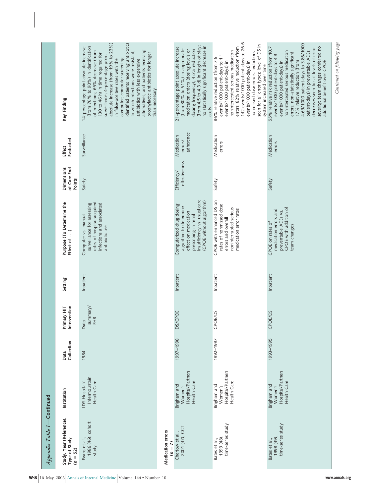| Appendix Table 1-Continued                              |                                                            |                    |                             |           |                                                                                                                                                                |                                            |                                    |                                                                                                                                                                                                                                                                                                                                                                                                                                                                                                                               |
|---------------------------------------------------------|------------------------------------------------------------|--------------------|-----------------------------|-----------|----------------------------------------------------------------------------------------------------------------------------------------------------------------|--------------------------------------------|------------------------------------|-------------------------------------------------------------------------------------------------------------------------------------------------------------------------------------------------------------------------------------------------------------------------------------------------------------------------------------------------------------------------------------------------------------------------------------------------------------------------------------------------------------------------------|
| Study, Year (Reference),<br>Type of Study<br>$(n = 52)$ | Institution                                                | Collection<br>Data | Primary HIT<br>Intervention | Setting   | Purpose (To Determine the<br>Effect of )                                                                                                                       | of Care End<br><b>Dimensions</b><br>Points | Evaluated<br>Effect                | Key Finding                                                                                                                                                                                                                                                                                                                                                                                                                                                                                                                   |
| Evans et al.,<br>1986 (46), cohort<br>study             | Intermountain<br>Health Care<br>LDS Hospital/              | 1984               | summary/<br>EHR<br>Data     | Inpatient | rates of hospital-acquired<br>infections and associated<br>surveillance for assessing<br>Computer vs. manual<br>antibiotic use                                 | Safety                                     | Surveillance                       | identified patients receiving antibiotics<br>absolute increase (from 19% to 23%)<br>(from 76% to 90%) in identification<br>14-percentage point absolute increase<br>alternatives, and patients receiving<br>of infections; 65% decrease (from<br>to which infections were resistant,<br>prophylactic antibiotics for longer<br>130 to 46 h) in time required for<br>surveillance; 4-percentage point<br>computer; computer screening<br>in false-positive rates with the<br>antibiotics with less expensive<br>than necessary |
| Medication errors<br>$(n = 7)$                          |                                                            |                    |                             |           |                                                                                                                                                                |                                            |                                    |                                                                                                                                                                                                                                                                                                                                                                                                                                                                                                                               |
| 2001 (47), CCT<br>Chertow et al.,                       | Hospital/Partners<br>Health Care<br>Brigham and<br>Women's | 1997-1998          | <b>DS/CPOE</b>              | Inpatient | insufficiency vs. usual care<br>(CPOE without algorithm)<br>Computerized drug dosing<br>algorithm to determine<br>effect on medication<br>prescribing in renal | effectiveness<br>Efficiency/               | adherence<br>Medication<br>errors/ | (from 4.5 to 4.3 d) in length of stay;<br>no statistically significant decrease in<br>21-percentage point absolute increase<br>(from 30% to 51%) in appropriate<br>dosing frequency); 4.5% reduction<br>medication orders (dosing levels or<br>costs                                                                                                                                                                                                                                                                          |
| time-series study<br>1999 (48),<br>Bates et al.,        | Hospital/Partners<br>Health Care<br>Brigham and<br>Women's | 1992-1997          | CPOE/DS                     | Inpatient | CPOE with enhanced DS on<br>rates of nonmissed dose<br>noninterrupted serious<br>medication error rates<br>errors and overall                                  | Safety                                     | Medication<br>errors               | 142 events/1000 patient-days to 26.6<br>seen for all error types; level of DS in<br>errors; 82% relative reduction (from<br>nonintercepted serious medication<br>nonmissed dose errors; reductions<br>events/1000 patient-days to 1.1<br>86% relative reduction (from 7.6<br>events/1000 patient-days) in<br>events/1000 patient-days) in<br>system increased over time                                                                                                                                                       |
| time-series study<br>1998 (49),<br>Bates et al.,        | Hospital/Partners<br>Health Care<br>Brigham and<br>Women's | 1993-1995          | <b>CPOE/DS</b>              | Inpatient | CPOE with addition of<br>medication errors and<br>preventable ADEs vs.<br>CPOE on rates of<br>team changes                                                     | Safety                                     | Medication<br>errors               | 4.69/1000 patient-days to 3.86/1000<br>severity; team changes conferred no<br>55% relative risk reduction (from 10.7<br>decreases seen for all levels of error<br>patient-days) in preventable ADEs;<br>nonintercepted serious medication<br>errors; non-statistically significant<br>events/1000 patient-days to 4.9<br>additional benefit over CPOE<br>17% relative reduction (from<br>events/1000 patient-days) in                                                                                                         |
|                                                         |                                                            |                    |                             |           |                                                                                                                                                                |                                            |                                    | Continued on following page                                                                                                                                                                                                                                                                                                                                                                                                                                                                                                   |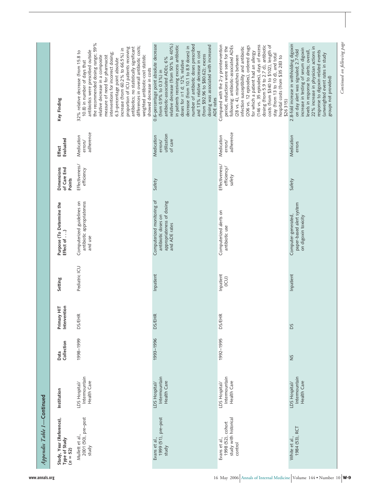Appendix Table 1-Continued *Appendix Table 1—***Continued**

| Key Finding                                             | the recommended dosing range; 59%<br>differences in overall antibiotic costs;<br>antibiotics; no statistically significant<br>proportion of ICU patients receiving<br>increase (from 60.2% to 66.5%) in<br>antibiotics were prescribed outside<br>32% relative decrease (from 15.8 to<br>interventions for incorrect dosing;<br>weighted antibiotic-cost statistic<br>measure of need for pharmacist<br>relative decrease in a composite<br>6.3-percentage point absolute<br>10.8) in number of days that<br>showed decrease in costs | relative decrease (from 50% to 40%)<br>0.6-percentage point absolute decrease<br>number of antibiotic doses prescribed<br>in patients receiving excess antibiotic<br>dosing was associated with increased<br>decrease (from 10.1 to 8.9 doses) in<br>and 13% relative decrease in cost<br>(from \$92.96 to \$80.62); excess<br>antibiotic-associated ADEs; 6%<br>doses for $\geq$ 1 d; 12% relative<br>(from 0.9% to 0.3%) in<br>ADE rates | Compared with the 2-y preintervention<br>(146 vs. 35 episodes), days of excess<br>dosing (from 5.9 to 2.7 d), antibiotic<br>costs (from \$340 to \$102), length of<br>(206 vs. 12 episodes), ordered drugs<br>following: antibiotic-associated ADEs<br>period, reductions were seen for the<br>infection susceptibility and antibiotic<br>for which a patient had an allergy<br>stay (from 13 to 10 d), and total<br>(28 vs. 4), mismatches between<br>hospital costs (from \$35 283 to<br>\$26 315) | 2.8-fold increase in withholding digoxin<br>22% increase in physician actions in<br>increase in testing of serum digoxin<br>on day alert was signaled; 2.7-fold<br>levels in response to alerts; overall,<br>response to digoxin-related events<br>(unweighted event rates in study<br>groups not provided) |
|---------------------------------------------------------|---------------------------------------------------------------------------------------------------------------------------------------------------------------------------------------------------------------------------------------------------------------------------------------------------------------------------------------------------------------------------------------------------------------------------------------------------------------------------------------------------------------------------------------|--------------------------------------------------------------------------------------------------------------------------------------------------------------------------------------------------------------------------------------------------------------------------------------------------------------------------------------------------------------------------------------------------------------------------------------------|------------------------------------------------------------------------------------------------------------------------------------------------------------------------------------------------------------------------------------------------------------------------------------------------------------------------------------------------------------------------------------------------------------------------------------------------------------------------------------------------------|-------------------------------------------------------------------------------------------------------------------------------------------------------------------------------------------------------------------------------------------------------------------------------------------------------------|
| Evaluated<br>Effect                                     | adherence<br>Medication<br>errors/                                                                                                                                                                                                                                                                                                                                                                                                                                                                                                    | utilization<br>Medication<br>of care<br>errors/                                                                                                                                                                                                                                                                                                                                                                                            | adherence<br>Medication<br>errors/                                                                                                                                                                                                                                                                                                                                                                                                                                                                   | Medication<br>errors                                                                                                                                                                                                                                                                                        |
| <b>Dimensions</b><br>of Care End<br>Points              | Effectiveness/<br>efficiency                                                                                                                                                                                                                                                                                                                                                                                                                                                                                                          | Safety                                                                                                                                                                                                                                                                                                                                                                                                                                     | Effectiveness/<br>efficiency/<br>safety                                                                                                                                                                                                                                                                                                                                                                                                                                                              | Safety                                                                                                                                                                                                                                                                                                      |
| Purpose (To Determine the<br>Effect of )                | Computerized guidelines on<br>antibiotic appropriateness<br>and use                                                                                                                                                                                                                                                                                                                                                                                                                                                                   | Computerized monitoring of<br>appropriateness of dosing<br>antibiotic doses on<br>and ADE rates                                                                                                                                                                                                                                                                                                                                            | Computerized alerts on<br>antibiotic use                                                                                                                                                                                                                                                                                                                                                                                                                                                             | paper-based alert system<br>on digoxin toxicity<br>Computer-generated,                                                                                                                                                                                                                                      |
| Setting                                                 | Pediatric ICU                                                                                                                                                                                                                                                                                                                                                                                                                                                                                                                         | Inpatient                                                                                                                                                                                                                                                                                                                                                                                                                                  | Inpatient<br>(ICU)                                                                                                                                                                                                                                                                                                                                                                                                                                                                                   | Inpatient                                                                                                                                                                                                                                                                                                   |
| ntervention<br>Primary HIT                              | <b>DS/EHR</b>                                                                                                                                                                                                                                                                                                                                                                                                                                                                                                                         | <b>DS/EHR</b>                                                                                                                                                                                                                                                                                                                                                                                                                              | <b>DS/EHR</b>                                                                                                                                                                                                                                                                                                                                                                                                                                                                                        | Sa                                                                                                                                                                                                                                                                                                          |
| Collection<br>Data                                      | 1998-1999                                                                                                                                                                                                                                                                                                                                                                                                                                                                                                                             | 1993-1996                                                                                                                                                                                                                                                                                                                                                                                                                                  | 1992-1995                                                                                                                                                                                                                                                                                                                                                                                                                                                                                            | SN                                                                                                                                                                                                                                                                                                          |
| Institution                                             | Intermountain<br>Health Care<br>LDS Hospital/                                                                                                                                                                                                                                                                                                                                                                                                                                                                                         | Intermountain<br>Health Care<br>LDS Hospital/                                                                                                                                                                                                                                                                                                                                                                                              | Intermountain<br>Health Care<br>LDS Hospital/                                                                                                                                                                                                                                                                                                                                                                                                                                                        | Intermountain<br>Health Care<br>LDS Hospital/                                                                                                                                                                                                                                                               |
| Study, Year (Reference),<br>Type of Study<br>$(n = 52)$ | Mullett et al.,<br>2001 (50), pre-post<br>study                                                                                                                                                                                                                                                                                                                                                                                                                                                                                       | 1999 (51), pre-post<br>Evans et al.,<br>study                                                                                                                                                                                                                                                                                                                                                                                              | study with historical<br>1998 (52), cohort<br>Evans et al.,<br>control                                                                                                                                                                                                                                                                                                                                                                                                                               | 1984 (53), RCT<br>White et al.,                                                                                                                                                                                                                                                                             |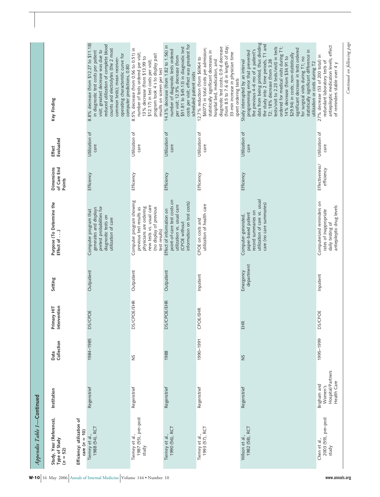| Appendix Table 1-Continued                              |                                                            |                    |                             |                         |                                                                                                                                                         |                                     |                        |                                                                                                                                                                                                                                                                                                                                                                                                                                                                                                                                                        |
|---------------------------------------------------------|------------------------------------------------------------|--------------------|-----------------------------|-------------------------|---------------------------------------------------------------------------------------------------------------------------------------------------------|-------------------------------------|------------------------|--------------------------------------------------------------------------------------------------------------------------------------------------------------------------------------------------------------------------------------------------------------------------------------------------------------------------------------------------------------------------------------------------------------------------------------------------------------------------------------------------------------------------------------------------------|
| Study, Year (Reference),<br>Type of Study<br>$(n = 52)$ | Institution                                                | Collection<br>Data | Primary HIT<br>Intervention | Setting                 | Purpose (To Determine the<br>Effect of )                                                                                                                | of Care End<br>Dimensions<br>Points | Evaluated<br>Effect    | Key Finding                                                                                                                                                                                                                                                                                                                                                                                                                                                                                                                                            |
| Efficiency: utilization of<br>care $(n = 10)$           |                                                            |                    |                             |                         |                                                                                                                                                         |                                     |                        |                                                                                                                                                                                                                                                                                                                                                                                                                                                                                                                                                        |
| Tierney et al.,<br>1988 (54), RCT                       | Regenstrief                                                | 1984-1985          | <b>DS/CPOE</b>              | Outpatient              | pretest probabilities for<br>generates and displays<br>Computer program that<br>diagnostic tests on<br>utilization of care                              | Efficiency                          | Utilization of<br>care | 8.8% decrease (from \$12.27 to \$11.18)<br>reduced utilization of complete blood<br>counts and electrolytes (the 2 most<br>visit; greatest decrease was due to<br>in diagnostic test costs per patient<br>operating characteristic curve for<br>common tests); mean receiver-<br>computer predictions, 0.80                                                                                                                                                                                                                                            |
| Tierney et al.,<br>1987 (55), pre–post<br>study         | Regenstrief                                                | š                  | <b>DS/CPOE/EHR</b>          | Outpatient              | Computer program showing<br>new tests vs. usual care<br>(no display of previous<br>physicians are ordering<br>previous test results as<br>test results) | Efficiency                          | Utilization of<br>care | 8.5% decrease (from 0.56 to 0.51) in<br>number of tests ordered per visit;<br>program took 4 s to display past<br>13% decrease (from \$13.99 to<br>\$12.17) in test costs per visit;<br>results on screen per test                                                                                                                                                                                                                                                                                                                                     |
| 1990 (56), RCT<br>Tierney et al.,                       | Regenstrief                                                | 1988               | <b>DS/CPOE/EHR</b>          | Outpatient              | point-of-care test costs on<br>information on test costs)<br>utilization vs. usual care<br>Effect of information on<br>(CPOE without                    | Efficiency                          | Utilization of<br>care | costs per visit; effect was greatest for<br>14.3% decrease (from 1.82 to 1.56) in<br>\$51.81 to \$45.13) in diagnostic test<br>number of diagnostic tests ordered<br>per visit; 12.9% decrease (from<br>scheduled patient visits                                                                                                                                                                                                                                                                                                                       |
| 1993 (57), RCT<br>Tierney et al.,                       | Regenstrief                                                | 1990-1991          | <b>CPOE/EHR</b>             | Inpatient               | utilization of health care<br>CPOE on costs and                                                                                                         | Efficiency                          | Utilization of<br>care | (from 8.5 to 7.6 d) in length of stay;<br>diagnostic test costs; 0.9-d decrease<br>\$6077) in total costs per admission;<br>statistically significant decreases in<br>33-min increase in physician time<br>12.7% reduction (from \$6964 to<br>hospital bed, medication, and<br>spent ordering tests                                                                                                                                                                                                                                                    |
| 1982 (58), RCT<br>Wilson et al.,                        | Regenstriet                                                | S                  | EHR                         | department<br>Emergency | utilization of care vs. usual<br>care (no care summaries)<br>record summaries on<br>paper-based patient<br>Computer-generated,                          | Efficiency                          | Utilization of<br>care | data from being printed, thus dividing<br>the study into 2 time periods, T1 and<br>ordered for medical visits during T1;<br>tests/visit to 2.23 tests/visit) in tests<br>significant decrease in tests ordered<br>the previous 4–6 mo of a patient's<br>statistically significant difference in<br>programming error that prevented<br>\$29.94) in costs; non-statistically<br>14% decrease (from \$34.91 to<br>for surgical visits during T1; no<br>T2; 18% decrease (from 3.28<br>Study interrupted by an interval<br>utilization or costs during T2 |
| 2003 (59), pre-post<br>Chen et al.,<br>study            | Hospital/Partners<br>Health Care<br>Brigham and<br>Women's | 1995-1999          | <b>DS/CPOE</b>              | Inpatient               | Computerized reminders on<br>daily testing of<br>antiepileptic drug levels<br>rates of inappropriate                                                    | Effectiveness/<br>efficiency        | Utilization of<br>care | antiepileptic medication levels; effect<br>of reminders stable over 4 y<br>27% decrease (53 of 200 total) in<br>redundant laboratory tests of                                                                                                                                                                                                                                                                                                                                                                                                          |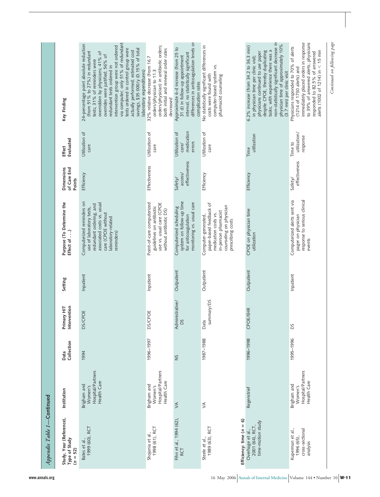| Appendix Table 1-Continued                                     |                                                            |                    |                             |            |                                                                                                                                                                          |                                     |                                                 |                                                                                                                                                                                                                                                                                                                                                                                                                                              |
|----------------------------------------------------------------|------------------------------------------------------------|--------------------|-----------------------------|------------|--------------------------------------------------------------------------------------------------------------------------------------------------------------------------|-------------------------------------|-------------------------------------------------|----------------------------------------------------------------------------------------------------------------------------------------------------------------------------------------------------------------------------------------------------------------------------------------------------------------------------------------------------------------------------------------------------------------------------------------------|
| Study, Year (Reference),<br>Type of Study<br>$(n = 52)$        | Institution                                                | Collection<br>Data | Primary HIT<br>Intervention | Setting    | Purpose (To Determine the<br>Effect of )                                                                                                                                 | of Care End<br>Dimensions<br>Points | Evaluated<br>Effect                             | Key Finding                                                                                                                                                                                                                                                                                                                                                                                                                                  |
| 1999 (60), RCT<br>Bates et al.,                                | Hospital/Partners<br>Health Care<br>Brigham and<br>Women's | 1994               | <b>DS/CPOE</b>              | Inpatient  | Computerized reminders on<br>associated costs vs. usual<br>redundant ordering, and<br>use of laboratory tests,<br>care (CPOE without<br>laboratory-related<br>reminders) | Efficiency                          | Utilization of<br>care                          | via computer; only 51% of redundant<br>24-percentage point absolute reduction<br>intervention group were not ordered<br>tests ordered in control group were<br>savings, \$35 000/y (0.15% of total<br>actually performed; estimated cost<br>(from 51% to 27%) in redundant<br>overridden by physicians; 41% of<br>overrides were justified; 56% of<br>tests; 31% of reminders were<br>redundant tests ordered in<br>laboratory expenditures) |
| 1998 (61), RCT<br>Shojania et al.,                             | Hospital/Partners<br>Health Care<br>Brigham and<br>Women's | 1996-1997          | <b>DS/CPOE</b>              | Inpatient  | Point-of-care computerized<br>use vs. usual care (CPOE<br>guidelines on antibiotic<br>without antibiotic DS)                                                             | Effectiveness                       | Utilization of<br>care                          | orders/physician) in antibiotic orders;<br>both initial and renewal order rates<br>32% relative decrease (from 16.7<br>orders/physician to 11.3<br>decreased                                                                                                                                                                                                                                                                                 |
| Fihn et al., 1994 (62),<br><b>RCT</b>                          | $\lesssim$                                                 | $\frac{5}{2}$      | Administrative/<br>DS       | Outpatient | system on follow-up time<br>monitoring vs. usual care<br>Computerized scheduling<br>for anticoagulation                                                                  | effectiveness<br>access/<br>Safety/ | medication<br>Utilization of<br>errors<br>care/ | differences in anticoagulation levels or<br>Approximate 6-d increase (from 25 to<br>interval; no statistically significant<br>31 d) in follow-up appointment<br>complication rates                                                                                                                                                                                                                                                           |
| Efficiency: time $(n = 6)$<br>1989 (63), RCT<br>Steele et al., | $\leq$                                                     | 1987-1988          | summary/DS<br>Data          | Outpatient | paper-based feedback of<br>counseling on physician<br>in-person pharmacist<br>medication costs vs.<br>Computer-generated,<br>prescribing costs                           | Efficiency                          | Utilization of<br>care                          | No statistically significant differences in<br>computer-based system vs.<br>costs were found with<br>pharmacist counseling                                                                                                                                                                                                                                                                                                                   |
| time-motion study<br>2001 (64), RCT,<br>Overhage et al.,       | Regenstrief                                                | 1996-1998          | <b>CPOE/EHR</b>             | Outpatient | CPOE on physician time<br>utilization                                                                                                                                    | Efficiency                          | utilization<br>Time                             | non-statistically significant decrease in<br>physician time of approximately 10%<br>6.2% increase (from 34.2 to 36.3 min)<br>tasks; with experience there was a<br>despite CPOE, thereby duplicating<br>physicians continued to use paper<br>in physician time per clinic visit;<br>(3.7 min) per clinic visit                                                                                                                               |
| cross-sectional<br>Kuperman et al.,<br>1996 (65),<br>analysis  | Hospital/Partners<br>Health Care<br>Brigham and<br>Women's | 1995-1996          | Sa                          | Inpatient  | Computerized alerts sent via<br>response to serious clinical<br>pager on physician<br>events                                                                             | effectiveness<br>Safety/            | utilization/<br>response<br>Time to             | immediately placed orders in response<br>to 39% of answered alerts; physicians<br>Physicians responded to 70% of alerts<br>alerts (1002 of 1214) in $<$ 15 min<br>responded to 82.5% of answered<br>(1214 of 1730 alerts) and                                                                                                                                                                                                                |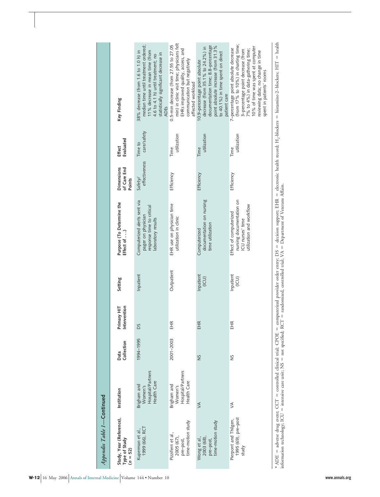| Appendix Table 1-Continued                                         |                                                            |                    |                             |                    |                                                                                                       |                                            |                            |                                                                                                                                                                                                                                                             |
|--------------------------------------------------------------------|------------------------------------------------------------|--------------------|-----------------------------|--------------------|-------------------------------------------------------------------------------------------------------|--------------------------------------------|----------------------------|-------------------------------------------------------------------------------------------------------------------------------------------------------------------------------------------------------------------------------------------------------------|
| Study, Year (Reference),<br>Type of Study<br>$(n = 52)$            | Institution                                                | Collection<br>Data | Primary HIT<br>Intervention | Setting            | Purpose (To Determine the<br>Effect of )                                                              | <b>Dimensions</b><br>of Care End<br>Points | Evaluated<br><b>Effect</b> | Key Finding                                                                                                                                                                                                                                                 |
| 1999 (66), RCT<br>Kuperman et al.                                  | Hospital/Partners<br>Health Care<br>Brigham and<br>Women's | 1994-1995          | <b>DS</b>                   | Inpatient          | Computerized alerts sent via<br>response time to critical<br>pager on physician<br>laboratory results | effectiveness<br>Safety/                   | care/safety<br>Time to     | median time until treatment ordered;<br>38% decrease (from 1.6 to 1.0 h) in<br>11% decrease in mean time (from<br>statistically significant decrease in<br>4.6 to 4.1 h) until treatment; no<br><b>ADEs</b>                                                 |
| pre–post,<br>time-motion study<br>Pizziferri et al.,<br>2005 (67), | Hospital/Partners<br>Health Care<br>Brigham and<br>Women's | 2001-2003          | EHR                         | Outpatient         | EHR use on physician time<br>utilization in clinic                                                    | Efficiency                                 | utilization<br>Time        | min) in clinic visit time; physicians felt<br>0.5-min decrease (from 27.55 to 27.05<br>EHRs improved quality, access, and<br>communication but negatively<br>affected workload                                                                              |
| pre-post,<br>time-motion study<br>Wong et al.,<br>2003 (68),       | $\leq$                                                     | Š                  | EHR                         | Inpatient<br>(ICU) | documentation on nursing<br>time utilization<br>Computerized                                          | Efficiency                                 | utilization<br>Time        | documentation time; 8.8-percentage<br>point absolute increase (from 31.3%<br>decrease (from 35.1% to 24.2%) in<br>to 40.1%) in time spent on direct<br>10.9-percentage point absolute<br>patient care                                                       |
| Pierpont and Thilgen,<br>1995 (69), pre-post<br>study              | $\leq$                                                     | š                  | EHR                         | Inpatient<br>(ICU) | nursing documentation on<br>utilization and workflow<br>Effect of computerized<br>ICU nurses' time    | Efficiency                                 | utilization<br>Time        | (from 17% to 10%) in charting time;<br>10% of time was spent at computer<br>7-percentage point absolute decrease<br>7% to 4%) in data-gathering time;<br>3-percentage point decrease (from<br>reviewing data; no change in time<br>spent in patients' rooms |

\* ADE = adverse drug event; CCT = conrolled clinical trial; CPOE = computerized provider order entry; DS = decision support; EHR = electronic health record; H<sub>2</sub>-blockers = histamine-2-blockers; HIT = health<br>information te ADE adverse drug event; CCT controlled clinical trial; CPOE computerized provider order entry; DS decision support; EHR electronic health record; H2-blockers histamine-2–blockers; HIT health information technology; ICU = intensive care unit; NS = not specified; RCT = randomized, controlled trial; VA = Department of Veterans Affairs.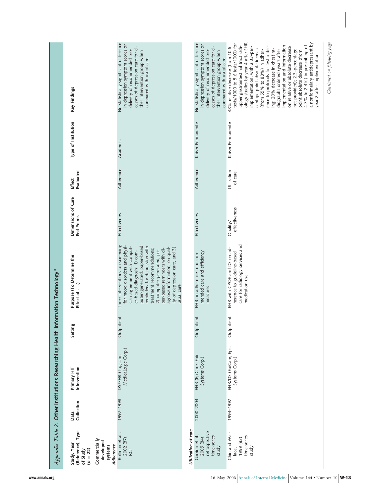|                                                                                                                 |                    | Appendix Table 2. Other Institutions Researching Health Information Technology* |            |                                                                                                                                                                                                                                                                                                                                                                               |                                         |                            |                     |                                                                                                                                                                                                                                                                                                                                                                                                                                                                                                                                                                                                             |
|-----------------------------------------------------------------------------------------------------------------|--------------------|---------------------------------------------------------------------------------|------------|-------------------------------------------------------------------------------------------------------------------------------------------------------------------------------------------------------------------------------------------------------------------------------------------------------------------------------------------------------------------------------|-----------------------------------------|----------------------------|---------------------|-------------------------------------------------------------------------------------------------------------------------------------------------------------------------------------------------------------------------------------------------------------------------------------------------------------------------------------------------------------------------------------------------------------------------------------------------------------------------------------------------------------------------------------------------------------------------------------------------------------|
| (Reference), Type<br>Commercially<br>developed<br>Study, Year<br>Adherence<br>systems<br>$(n = 22)$<br>of Study | Collection<br>Data | Intervention<br>Primary HIT                                                     | Setting    | Purpose (To Determine the<br>Effect of )                                                                                                                                                                                                                                                                                                                                      | Dimensions of Care<br><b>End Points</b> | Evaluated<br><b>Effect</b> | Type of Institution | Key Findings                                                                                                                                                                                                                                                                                                                                                                                                                                                                                                                                                                                                |
| Rollman et al.,<br>2002 (87),<br><b>RCT</b>                                                                     | 1997-1998          | MedicaLogic Corp.)<br>DS/EHR (Logician,                                         | Outpatient | Three interventions on screening<br>for mood disorders and physi-<br>puter-generated, paper-based<br>cian agreement with comput-<br>reminders for depression with<br>agnosis information; on qual-<br>ity of depression care, and 3)<br>per-based reminders with di-<br>treatment recommendations;<br>er-based diagnosis: 1) com-<br>2) computer-generated, pa-<br>usual care | Effectiveness                           | Adherence                  | Academic            | No statistically significant difference<br>in depression symptom scores or<br>cesses of depression care for ei-<br>delivery of recommended pro-<br>ther intervention group when<br>compared with usual care                                                                                                                                                                                                                                                                                                                                                                                                 |
| Utilization of care                                                                                             |                    |                                                                                 |            |                                                                                                                                                                                                                                                                                                                                                                               |                                         |                            |                     |                                                                                                                                                                                                                                                                                                                                                                                                                                                                                                                                                                                                             |
| retrospective<br>Garrido et al.,<br>time-series<br>2005 (84),<br>study                                          | 2000-2004          | EHR (EpiCare, Epic<br>Systems Corp.)                                            | Outpatient | mended care and efficiency<br>EHR on adherence to recom-<br>measures                                                                                                                                                                                                                                                                                                          | Effectiveness                           | Adherence                  | Kaiser Permanente   | No statistically significant difference<br>in depression symptom scores or<br>cesses of depression care for ei-<br>delivery of recommended pro-<br>ther intervention group when<br>compared with usual care                                                                                                                                                                                                                                                                                                                                                                                                 |
| Chin and Wal-<br>time-series<br>1999 (83)<br>study<br>lace,                                                     | 1994-1997          | EHR/DS (EpiCare, Epic<br>Systems Corp.)                                         | Outpatient | care for radiology services and<br>EHR with CPOE and DS on ad-<br>herence to guideline-based<br>medication use                                                                                                                                                                                                                                                                | effectiveness<br>Quality/               | Utilization<br>of care     | Kaiser Permanente   | ology studies by year 4 after EHR<br>a nonformulary antidepressant by<br>tests/1000 to 5.6 tests/1000) for<br>upper gastrointestinal tract radi-<br>4.7% to 2.4%) in prescribing of<br>implementation and information<br>ence to protocols for test order-<br>on relative or absolute decrease<br>48% relative decrease (from 10.6<br>implementation, with a 33-per-<br>centage point absolute increase<br>ing; 20% decrease in chest ra-<br>(from 55% to 88%) in adher-<br>diographs ordered (years after<br>not provided); 2.3-percentage<br>point absolute decrease (from<br>year 2 after implementation |

*Continued on following page*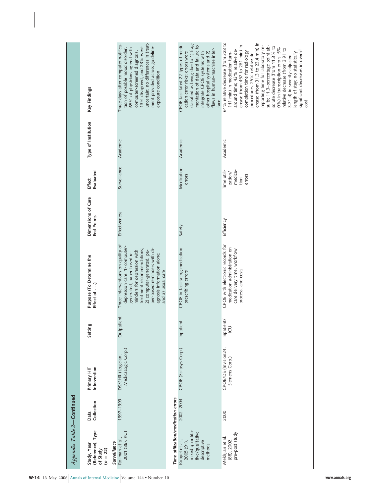| Appendix Table 2-Continued                                                                      |                    |                                         |                 |                                                                                                                                                                                                                                                                                |                                         |                                                     |                     |                                                                                                                                                                                                                                                                                                                                                                                                                                                                                                                                               |
|-------------------------------------------------------------------------------------------------|--------------------|-----------------------------------------|-----------------|--------------------------------------------------------------------------------------------------------------------------------------------------------------------------------------------------------------------------------------------------------------------------------|-----------------------------------------|-----------------------------------------------------|---------------------|-----------------------------------------------------------------------------------------------------------------------------------------------------------------------------------------------------------------------------------------------------------------------------------------------------------------------------------------------------------------------------------------------------------------------------------------------------------------------------------------------------------------------------------------------|
| (Reference), Type<br>Surveillance<br>Study, Year<br>$(n = 22)$<br>of Study                      | Collection<br>Data | Intervention<br>Primary HIT             | Setting         | Purpose (To Determine the<br>Effect of )                                                                                                                                                                                                                                       | Dimensions of Care<br><b>End Points</b> | Evaluated<br><b>Effect</b>                          | Type of Institution | Key Findings                                                                                                                                                                                                                                                                                                                                                                                                                                                                                                                                  |
| 2001 (86), RCT<br>Rollman et al.,                                                               | 1997-1999          | MedicaLogic Corp.)<br>DS/EHR (Logician, | Outpatient      | Three interventions on quality of<br>depression care: 1) computer-<br>per-based reminders with di-<br>treatment recommendations;<br>2) computer-generated, pa-<br>minders for depression with<br>generated, paper-based re-<br>agnosis information alone;<br>and 3) usual care | Effectiveness                           | Surveillance                                        | Academic            | uncertain; no differences in treat-<br>Three days after computer notifica-<br>13% disagreed, and 23% were<br>ment provided across guideline-<br>65% of physicians agreed with<br>tion of possible mood disorder,<br>computer-screened diagnosis,<br>exposure condition                                                                                                                                                                                                                                                                        |
| Time utilization/medication errors                                                              |                    |                                         |                 |                                                                                                                                                                                                                                                                                |                                         |                                                     |                     |                                                                                                                                                                                                                                                                                                                                                                                                                                                                                                                                               |
| mixed quantita-<br>tive/qualitative<br>Koppel et al.,<br>descriptive<br>$2005(91)$ ,<br>methods | 2002-2004          | CPOE (Eclipsys Corp.)                   | Inpatient       | CPOE in facilitating medication<br>prescribing errors                                                                                                                                                                                                                          | Safety                                  | Medication<br>errors                                | Academic            | classified as being due to 1) frag-<br>CPOE facilitated 22 types of medi-<br>mentation of data and failure to<br>flaws in human-machine inter<br>cation error risks; errors were<br>other hospital systems and 2)<br>integrate CPOE systems with<br>face                                                                                                                                                                                                                                                                                      |
| pre-post study<br>Mekhjian et al.<br>$(88)$ , $2002$ ,                                          | 2000               | CPOE/DS (Invision24,<br>Siemens Corp.)  | Inpatient/<br>m | CPOE with electronic records for<br>medication administration on<br>care delivery time, workflow<br>process, and costs                                                                                                                                                         | Efficiency                              | Time utili-<br>medica-<br>zation/<br>errors<br>tion | Academic            | 64% relative decrease (from 328 to<br>crease (from 31.3 to 23.4 min) in<br>crease (from 457 to 261 min) in<br>sults; 11.3-percentage point ab-<br>reporting time for laboratory re-<br>solute decrease (from 11.3% to<br>0%) in transcription errors; 5%<br>relative decrease (from 3.91 to<br>around time; 43% relative de-<br>significant decreases in overall<br>completion time for radiology<br>procedures; 25% relative de-<br>111 min) in medication turn-<br>length of stay; no statistically<br>3.71 d) in severity-adjusted<br>cost |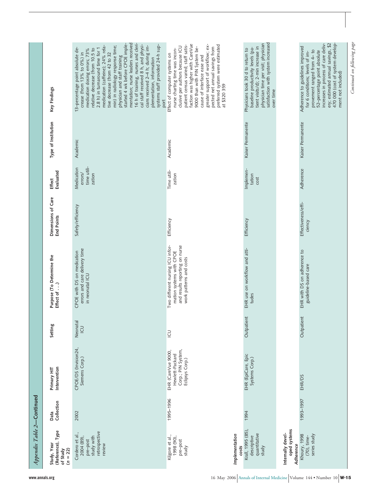| Appendix Table 2-Continued                                                         |                    |                                                                                |                 |                                                                                                                           |                                         |                                                |                     |                                                                                                                                                                                                                                                                                                                                                                                                                                                                                                                                                                                 |
|------------------------------------------------------------------------------------|--------------------|--------------------------------------------------------------------------------|-----------------|---------------------------------------------------------------------------------------------------------------------------|-----------------------------------------|------------------------------------------------|---------------------|---------------------------------------------------------------------------------------------------------------------------------------------------------------------------------------------------------------------------------------------------------------------------------------------------------------------------------------------------------------------------------------------------------------------------------------------------------------------------------------------------------------------------------------------------------------------------------|
| (Reference), Type<br>Study, Year<br>$(n = 22)$<br>of Study                         | Collection<br>Data | Intervention<br>Primary HIT                                                    | Setting         | Purpose (To Determine the<br>Effect of )                                                                                  | Dimensions of Care<br><b>End Points</b> | Evaluated<br><b>Effect</b>                     | Type of Institution | Key Findings                                                                                                                                                                                                                                                                                                                                                                                                                                                                                                                                                                    |
| retrospective<br>Cordero et al.,<br>study with<br>2004 (89),<br>pre-post<br>review | 2002               | CPOE/DS (Invision24,<br>Siemens Corp.)                                         | Neonatal<br>LCU | errors and care delivery time<br>CPOE with DS on medication<br>in neonatal ICU                                            | Safety/efficiency                       | time utili-<br>Medication<br>errors/<br>zation | Academic            | mentation; nurse leaders received<br>16 h of training, nurses and cleri-<br>started 4 wk before CPOE imple-<br>cal staff received 8 h, and physi-<br>systems staff provided 24-h sup-<br>medication (caffeine); 24% rela-<br>min) in radiology response time;<br>cians received 2-4 h; during im-<br>13-percentage point absolute de-<br>relative decrease (from 10.5 to<br>2.8 h) in turnaround time for 1<br>medication dosing errors; 73%<br>crease (from 13% to 0%) in<br>tive decrease (from 42 to 32<br>physician and staff training<br>plementation, information<br>port |
| Implementation<br>Kilgore et al.,<br>1998 (90),<br>pre-post<br>study               | 1995-1996          | Corp.; PIN System,<br>EHR (CareVue 9000,<br>Hewlett-Packard<br>Eclipsys Corp.) | <b>D</b>        | and results reporting on nurse<br>Two different nursing ICU infor-<br>mation systems with CPOE<br>work patterns and costs | Efficiency                              | Time utili-<br>zation                          | Academic            | faction was higher with CareVue<br>greater support of workflow; ex-<br>patient census varied; staff satis-<br>preferred system were estimated<br>clusive per authors because ICU<br>9000 than with PIN System be-<br>pected net annual savings from<br>nurse charting time was incon-<br>Effect of computer systems on<br>cause of interface ease and<br>at \$320 359                                                                                                                                                                                                           |
| Krall, 1995 (85),<br>quantitative<br>descriptive<br>study<br>costs                 | 1994               | EHR (EpiCare, Epic<br>Systems Corp.)                                           | Outpatient      | EHR use on workflow and atti-<br>tudes                                                                                    | Efficiency                              | Implemen-<br>tation<br>cost                    | Kaiser Permanente   | satisfaction with system increased<br>physician time per visit; physician<br>tient visits/d); 2-min increase in<br>baseline productivity levels (pa-<br>Physicians took 30 d to return to<br>over time                                                                                                                                                                                                                                                                                                                                                                          |
| Internally devel-<br>oped systems<br>Adherence                                     |                    |                                                                                |                 |                                                                                                                           |                                         |                                                |                     |                                                                                                                                                                                                                                                                                                                                                                                                                                                                                                                                                                                 |
| Khoury, 1998<br>(70), time-<br>series study                                        | 1993-1997          | EHR/DS                                                                         | Outpatient      | EHR with DS on adherence to<br>guideline-based care                                                                       | Effectiveness/effi-<br>ciency           | Adherence                                      | Kaiser Permanente   | 470 000 (cost of system develop-<br>increases in process of care deliv-<br>ery; estimated annual savings, \$2<br>Adherence to guidelines improved<br>provement ranged from 4- to<br>52-percentage point absolute<br>for 6 conditions; levels of im-<br>ment not included)                                                                                                                                                                                                                                                                                                       |
|                                                                                    |                    |                                                                                |                 |                                                                                                                           |                                         |                                                |                     | Continued on following page                                                                                                                                                                                                                                                                                                                                                                                                                                                                                                                                                     |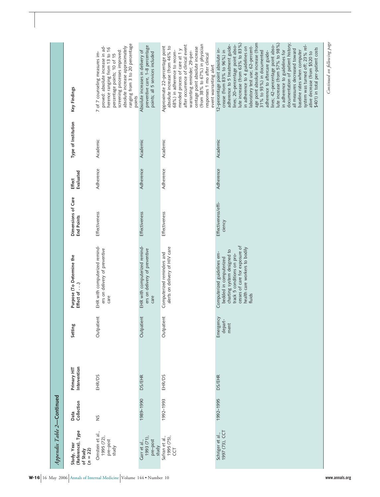| Appendix Table 2-Continued                                 |                    |                             |                              |                                                                                                                                                                                                 |                                         |                            |                     |                                                                                                                                                                                                                                                                                                                                                                                                                                                                                                                                                                                                                                                                            |
|------------------------------------------------------------|--------------------|-----------------------------|------------------------------|-------------------------------------------------------------------------------------------------------------------------------------------------------------------------------------------------|-----------------------------------------|----------------------------|---------------------|----------------------------------------------------------------------------------------------------------------------------------------------------------------------------------------------------------------------------------------------------------------------------------------------------------------------------------------------------------------------------------------------------------------------------------------------------------------------------------------------------------------------------------------------------------------------------------------------------------------------------------------------------------------------------|
| (Reference), Type<br>Study, Year<br>$(n = 22)$<br>of Study | Collection<br>Data | Intervention<br>Primary HIT | Setting                      | Purpose (To Determine the<br>Effect of )                                                                                                                                                        | Dimensions of Care<br><b>End Points</b> | Evaluated<br><b>Effect</b> | Type of Institution | Key Findings                                                                                                                                                                                                                                                                                                                                                                                                                                                                                                                                                                                                                                                               |
| Ornstein et al.,<br>1995 (72),<br>pre-post<br>study        | š                  | EHR/DS                      | Outpatient                   | EHR with computerized remind-<br>ers on delivery of preventive<br>care                                                                                                                          | Effectiveness                           | Adherence                  | Academic            | ranging from 3 to 20 percentage<br>proved: absolute increase in ad-<br>absolute increase approximately<br>herence ranging from 13 to 16<br>screening processes improved:<br>7 of 7 counseling measures im-<br>percentage points; 10 of 15<br>points                                                                                                                                                                                                                                                                                                                                                                                                                        |
| 1993 (71),<br>pre-post<br>Garr et al.,<br>study            | 1989-1990          | <b>DS/EHR</b>               | Outpatient                   | EHR with computerized remind-<br>ers on delivery of preventive<br>care                                                                                                                          | Effectiveness                           | Adherence                  | Academic            | preventive care, 1-8 percentage<br>Absolute increases in delivery of<br>points; all 5 services included                                                                                                                                                                                                                                                                                                                                                                                                                                                                                                                                                                    |
| Safran et al.,<br>1995 (75),<br><b>CCT</b>                 | 1992-1993          | EHR/DS                      | Outpatient                   | alerts on delivery of HIV care<br>Computerized reminders and                                                                                                                                    | Effectiveness                           | Adherence                  | Academic            | (from 38% to 67%) in physician<br>after occurrence of clinical event<br>Approximate 22-percentage point<br>absolute increase (from 46% to<br>centage point absolute increase<br>mended process of care at 1 y<br>68%) in adherence to recom-<br>warranting reminder; 29-per-<br>responses 1 mo after clinical<br>event warranting alert                                                                                                                                                                                                                                                                                                                                    |
| 1997 (73), CCT<br>Schriger et al.,                         | 1992-1995          | <b>DS/EHR</b>               | Emergency<br>depart-<br>ment | cesses of care for exposure of<br>health care workers to bodily<br>charting system designed to<br>Computerized guidelines em-<br>track 5 conditions on pro-<br>bedded in computerized<br>fluids | Effectiveness/effi-<br>ciency           | Adherence                  | Academic            | age point absolute increase (from<br>lute increase (from 63% to 83%)<br>lute increase (from 57% to 98%)<br>documentation of patient history<br>lines; 20-percentage point abso-<br>lines; 42-percentage point abso-<br>adherence to 5 treatment guide-<br>system was turned off; 23% rel-<br>laboratory test use; 62-percent-<br>in adherence to 4 guidelines on<br>\$401) in total per-patient costs<br>12-percentage point absolute in-<br>all measures decreased toward<br>crease (from 83% to 96%) in<br>in adherence to guidelines for<br>31% to 93%) in documented<br>baseline rates when computer<br>adherence to aftercare guide-<br>ative decrease (from \$520 to |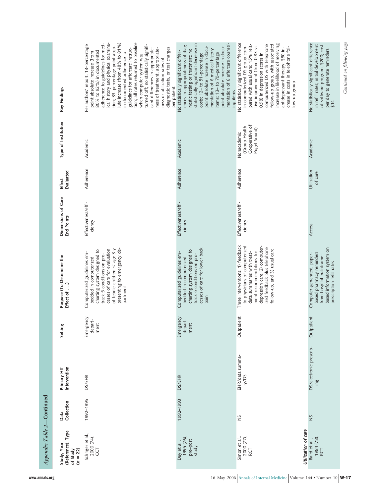| Key Findings                                               | tion; all rates returned to baseline<br>lute increase (from 48% to 81%)<br>ical history and physical examina-<br>adherence to guidelines for med-<br>Per authors' report, 13-percentage<br>turned off; no statistically signifi-<br>tion; 33-percentage point abso-<br>diagnostic tests, or test charges<br>cant differences in appropriate-<br>ness of treatment, appropriate-<br>guidelines for aftercare instruc-<br>80% to 92%) in documented<br>point absolute increase (from<br>in documented adherence to<br>when computer system was<br>ness or utilization rates of<br>per patient | statistically significant decrease in<br>mentation of 6 aftercare counsel-<br>ences in appropriateness of diag-<br>point absolute increase in docu-<br>point absolute increase in docu-<br>nostic testing or treatment; no<br>mentation of 6 medical history<br>No statistically significant differ-<br>items; 13-to 70-percentage<br>costs; 12- to 51-percentage<br>ing items | No statistically significant difference<br>increase in likelihood of receiving<br>follow-up group, with associated<br>pared with usual care; 15% rela-<br>computerized DS with telephone<br>tive improvement (from 0.83 vs.<br>in computerized DS group com-<br>crease in costs in telephone fol-<br>antidepressant therapy; \$80 in-<br>0.98) in depression scores in<br>dno.aB dn-wo | No statistically significant difference<br>in refill rates; initial development<br>of software program, \$200; cost<br>per day to generate reminders,<br>\$14 |
|------------------------------------------------------------|---------------------------------------------------------------------------------------------------------------------------------------------------------------------------------------------------------------------------------------------------------------------------------------------------------------------------------------------------------------------------------------------------------------------------------------------------------------------------------------------------------------------------------------------------------------------------------------------|--------------------------------------------------------------------------------------------------------------------------------------------------------------------------------------------------------------------------------------------------------------------------------------------------------------------------------------------------------------------------------|----------------------------------------------------------------------------------------------------------------------------------------------------------------------------------------------------------------------------------------------------------------------------------------------------------------------------------------------------------------------------------------|---------------------------------------------------------------------------------------------------------------------------------------------------------------|
| Type of Institution                                        | Academic                                                                                                                                                                                                                                                                                                                                                                                                                                                                                                                                                                                    | Academic                                                                                                                                                                                                                                                                                                                                                                       | Cooperative of<br>(Group Health<br>Puget Sound)<br>Nonacademic                                                                                                                                                                                                                                                                                                                         | Academic                                                                                                                                                      |
| Evaluated<br><b>Effect</b>                                 | Adherence                                                                                                                                                                                                                                                                                                                                                                                                                                                                                                                                                                                   | Adherence                                                                                                                                                                                                                                                                                                                                                                      | Adherence                                                                                                                                                                                                                                                                                                                                                                              | Utilization<br>of care                                                                                                                                        |
| Dimensions of Care<br><b>End Points</b>                    | Effectiveness/effi-<br>ciency                                                                                                                                                                                                                                                                                                                                                                                                                                                                                                                                                               | Effectiveness/effi-<br>ciency                                                                                                                                                                                                                                                                                                                                                  | Effectiveness/effi-<br>ciency                                                                                                                                                                                                                                                                                                                                                          | Access                                                                                                                                                        |
| Purpose (To Determine the<br>Effect of )                   | presenting to emergency de-<br>of febrile children $<$ age 3 $y$<br>cesses of care for evaluation<br>charting system designed to<br>Computerized guidelines em-<br>track 5 conditions on pro-<br>bedded in computerized<br>partment                                                                                                                                                                                                                                                                                                                                                         | cesses of care for lower back<br>charting system designed to<br>Computerized guidelines em-<br>track 5 conditions on pro-<br>bedded in computerized<br>pain                                                                                                                                                                                                                    | Three interventions: 1) feedback<br>to physicians of computerized<br>depression care, 2) computer-<br>ized feedback plus telephone<br>follow-up, and 3) usual care<br>ment recommendations for<br>data summaries with treat-                                                                                                                                                           | based information system on<br>based pharmacy reminders<br>Computer-generated, paper-<br>from hospital mainframe-<br>prescription refill rates                |
| Setting                                                    | Emergency<br>depart-<br>ment                                                                                                                                                                                                                                                                                                                                                                                                                                                                                                                                                                | Emergency<br>depart-<br>ment                                                                                                                                                                                                                                                                                                                                                   | Outpatient                                                                                                                                                                                                                                                                                                                                                                             | Outpatient                                                                                                                                                    |
| Intervention<br>Primary HIT                                | <b>DS/EHR</b>                                                                                                                                                                                                                                                                                                                                                                                                                                                                                                                                                                               | <b>DS/EHR</b>                                                                                                                                                                                                                                                                                                                                                                  | EHR/data summa-<br>ry/DS                                                                                                                                                                                                                                                                                                                                                               | DS/electronic prescrib-<br>$\frac{8}{10}$                                                                                                                     |
| Collection<br>Data                                         | 1992-1995                                                                                                                                                                                                                                                                                                                                                                                                                                                                                                                                                                                   | 1992-1993                                                                                                                                                                                                                                                                                                                                                                      | š                                                                                                                                                                                                                                                                                                                                                                                      | SN                                                                                                                                                            |
| (Reference), Type<br>Study, Year<br>of Study<br>$(n = 22)$ | Schriger et al.,<br>2000 (74),<br>CCT                                                                                                                                                                                                                                                                                                                                                                                                                                                                                                                                                       | 1995 (76)<br>pre-post<br>Day et al.,<br>study                                                                                                                                                                                                                                                                                                                                  | Utilization of care<br>2000 (77),<br>Simon et al.,<br>RCT                                                                                                                                                                                                                                                                                                                              | 1984 (78)<br>Baird et al.,<br>RCT                                                                                                                             |

tanued on following page *Continued on following page*

*Appendix Table 2***—Continued**

Appendix Table 2-Continued